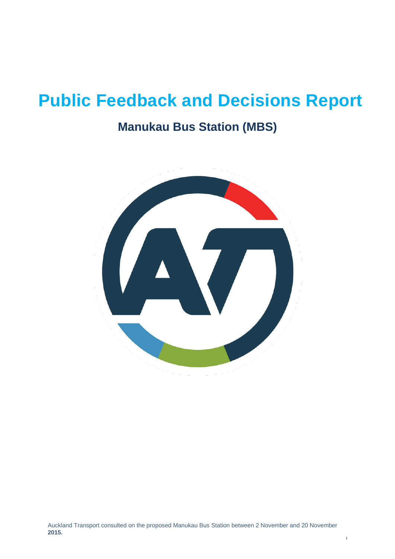# **Public Feedback and Decisions Report**

### **Manukau Bus Station (MBS)**

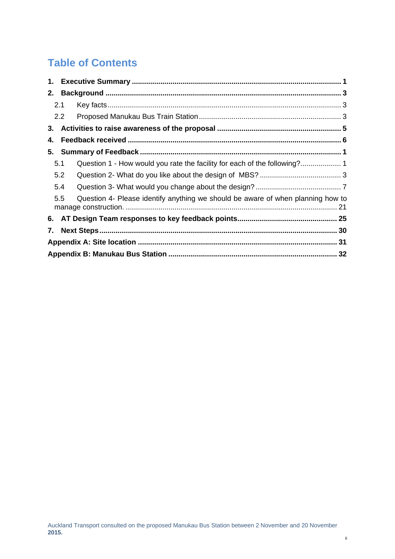### **Table of Contents**

|                                                                                        | 2.1 |  |  |  |  |
|----------------------------------------------------------------------------------------|-----|--|--|--|--|
|                                                                                        | 2.2 |  |  |  |  |
|                                                                                        |     |  |  |  |  |
| 4.                                                                                     |     |  |  |  |  |
|                                                                                        |     |  |  |  |  |
|                                                                                        | 5.1 |  |  |  |  |
|                                                                                        | 5.2 |  |  |  |  |
|                                                                                        | 5.4 |  |  |  |  |
| Question 4- Please identify anything we should be aware of when planning how to<br>5.5 |     |  |  |  |  |
|                                                                                        |     |  |  |  |  |
| 7.                                                                                     |     |  |  |  |  |
|                                                                                        |     |  |  |  |  |
|                                                                                        |     |  |  |  |  |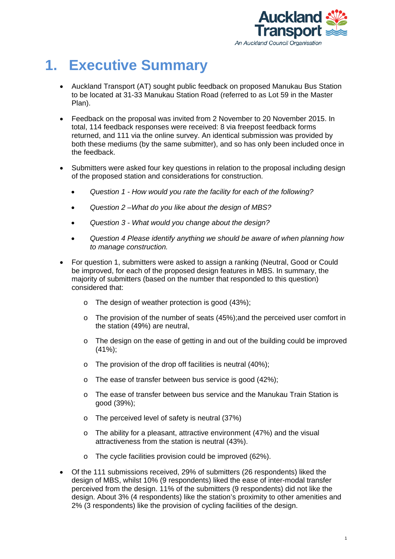

## <span id="page-2-0"></span>**1. Executive Summary**

- Auckland Transport (AT) sought public feedback on proposed Manukau Bus Station to be located at 31-33 Manukau Station Road (referred to as Lot 59 in the Master Plan).
- Feedback on the proposal was invited from 2 November to 20 November 2015. In total, 114 feedback responses were received: 8 via freepost feedback forms returned, and 111 via the online survey. An identical submission was provided by both these mediums (by the same submitter), and so has only been included once in the feedback.
- Submitters were asked four key questions in relation to the proposal including design of the proposed station and considerations for construction.
	- *Question 1 - How would you rate the facility for each of the following?*
	- *Question 2 –What do you like about the design of MBS?*
	- *Question 3 - What would you change about the design?*
	- *Question 4 Please identify anything we should be aware of when planning how to manage construction.*
- For question 1, submitters were asked to assign a ranking (Neutral, Good or Could be improved, for each of the proposed design features in MBS. In summary, the majority of submitters (based on the number that responded to this question) considered that:
	- o The design of weather protection is good (43%);
	- o The provision of the number of seats (45%);and the perceived user comfort in the station (49%) are neutral,
	- o The design on the ease of getting in and out of the building could be improved (41%);
	- o The provision of the drop off facilities is neutral (40%);
	- o The ease of transfer between bus service is good (42%);
	- o The ease of transfer between bus service and the Manukau Train Station is good (39%);
	- o The perceived level of safety is neutral (37%)
	- o The ability for a pleasant, attractive environment (47%) and the visual attractiveness from the station is neutral (43%).
	- o The cycle facilities provision could be improved (62%).
- Of the 111 submissions received, 29% of submitters (26 respondents) liked the design of MBS, whilst 10% (9 respondents) liked the ease of inter-modal transfer perceived from the design. 11% of the submitters (9 respondents) did not like the design. About 3% (4 respondents) like the station's proximity to other amenities and 2% (3 respondents) like the provision of cycling facilities of the design.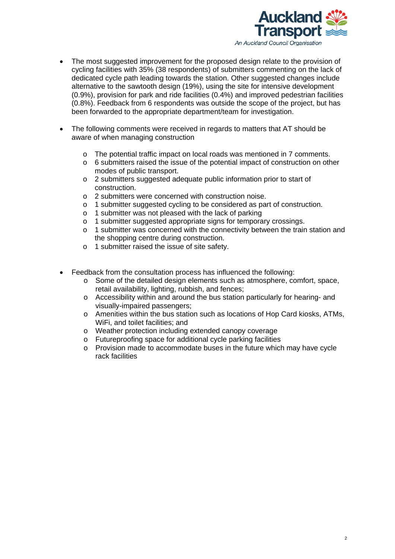

- The most suggested improvement for the proposed design relate to the provision of cycling facilities with 35% (38 respondents) of submitters commenting on the lack of dedicated cycle path leading towards the station. Other suggested changes include alternative to the sawtooth design (19%), using the site for intensive development (0.9%), provision for park and ride facilities (0.4%) and improved pedestrian facilities (0.8%). Feedback from 6 respondents was outside the scope of the project, but has been forwarded to the appropriate department/team for investigation.
- The following comments were received in regards to matters that AT should be aware of when managing construction
	- o The potential traffic impact on local roads was mentioned in 7 comments.
	- o 6 submitters raised the issue of the potential impact of construction on other modes of public transport.
	- o 2 submitters suggested adequate public information prior to start of construction.
	- o 2 submitters were concerned with construction noise.
	- o 1 submitter suggested cycling to be considered as part of construction.
	- o 1 submitter was not pleased with the lack of parking
	- o 1 submitter suggested appropriate signs for temporary crossings.
	- o 1 submitter was concerned with the connectivity between the train station and the shopping centre during construction.
	- o 1 submitter raised the issue of site safety.
- Feedback from the consultation process has influenced the following:
	- o Some of the detailed design elements such as atmosphere, comfort, space, retail availability, lighting, rubbish, and fences;
	- o Accessibility within and around the bus station particularly for hearing- and visually-impaired passengers;
	- o Amenities within the bus station such as locations of Hop Card kiosks, ATMs, WiFi, and toilet facilities; and
	- o Weather protection including extended canopy coverage
	- o Futureproofing space for additional cycle parking facilities
	- o Provision made to accommodate buses in the future which may have cycle rack facilities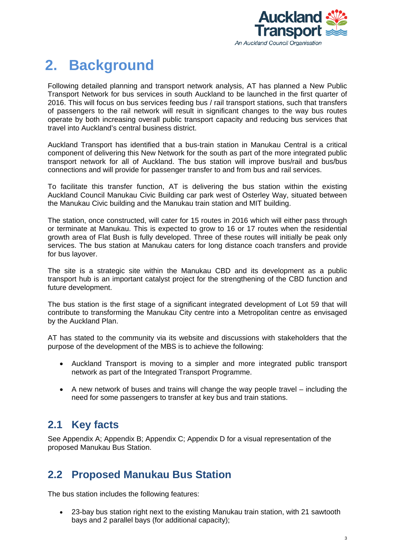

## <span id="page-4-0"></span>**2. Background**

Following detailed planning and transport network analysis, AT has planned a New Public Transport Network for bus services in south Auckland to be launched in the first quarter of 2016. This will focus on bus services feeding bus / rail transport stations, such that transfers of passengers to the rail network will result in significant changes to the way bus routes operate by both increasing overall public transport capacity and reducing bus services that travel into Auckland's central business district.

Auckland Transport has identified that a bus-train station in Manukau Central is a critical component of delivering this New Network for the south as part of the more integrated public transport network for all of Auckland. The bus station will improve bus/rail and bus/bus connections and will provide for passenger transfer to and from bus and rail services.

To facilitate this transfer function, AT is delivering the bus station within the existing Auckland Council Manukau Civic Building car park west of Osterley Way, situated between the Manukau Civic building and the Manukau train station and MIT building.

The station, once constructed, will cater for 15 routes in 2016 which will either pass through or terminate at Manukau. This is expected to grow to 16 or 17 routes when the residential growth area of Flat Bush is fully developed. Three of these routes will initially be peak only services. The bus station at Manukau caters for long distance coach transfers and provide for bus layover.

The site is a strategic site within the Manukau CBD and its development as a public transport hub is an important catalyst project for the strengthening of the CBD function and future development.

The bus station is the first stage of a significant integrated development of Lot 59 that will contribute to transforming the Manukau City centre into a Metropolitan centre as envisaged by the Auckland Plan.

AT has stated to the community via its website and discussions with stakeholders that the purpose of the development of the MBS is to achieve the following:

- Auckland Transport is moving to a simpler and more integrated public transport network as part of the Integrated Transport Programme.
- A new network of buses and trains will change the way people travel including the need for some passengers to transfer at key bus and train stations.

### <span id="page-4-1"></span>**2.1 Key facts**

See Appendix A; Appendix B; Appendix C; Appendix D for a visual representation of the proposed Manukau Bus Station.

### <span id="page-4-2"></span>**2.2 Proposed Manukau Bus Station**

The bus station includes the following features:

• 23-bay bus station right next to the existing Manukau train station, with 21 sawtooth bays and 2 parallel bays (for additional capacity);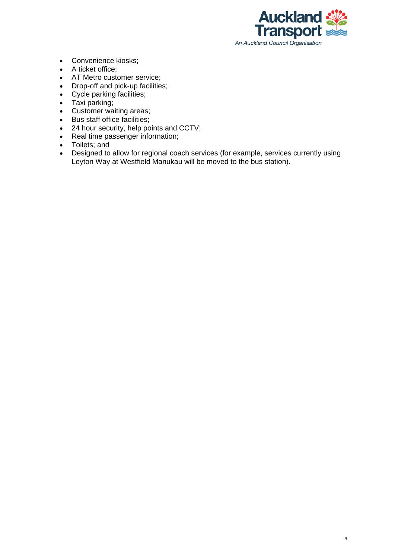

4

- Convenience kiosks;
- A ticket office;
- AT Metro customer service;
- Drop-off and pick-up facilities;
- Cycle parking facilities;
- Taxi parking;
- Customer waiting areas;
- Bus staff office facilities;
- 24 hour security, help points and CCTV;
- Real time passenger information;
- Toilets; and
- Designed to allow for regional coach services (for example, services currently using Leyton Way at Westfield Manukau will be moved to the bus station).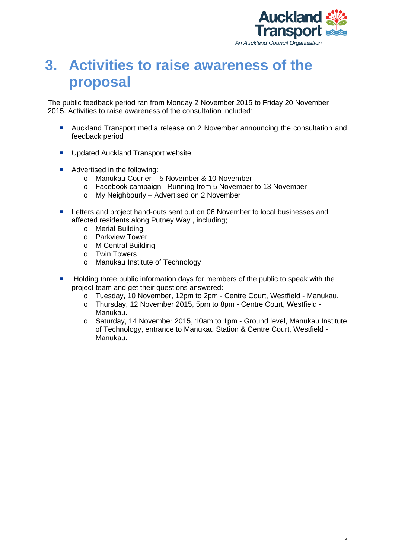

## <span id="page-6-0"></span>**3. Activities to raise awareness of the proposal**

The public feedback period ran from Monday 2 November 2015 to Friday 20 November 2015. Activities to raise awareness of the consultation included:

- Auckland Transport media release on 2 November announcing the consultation and feedback period
- **Updated Auckland Transport website**
- Advertised in the following:
	- o Manukau Courier 5 November & 10 November
	- o Facebook campaign– Running from 5 November to 13 November
	- o My Neighbourly Advertised on 2 November
- **Letters and project hand-outs sent out on 06 November to local businesses and** affected residents along Putney Way , including;
	- o Merial Building
	- o Parkview Tower
	- o M Central Building
	- o Twin Towers
	- o Manukau Institute of Technology
- **Holding three public information days for members of the public to speak with the** project team and get their questions answered:
	- o Tuesday, 10 November, 12pm to 2pm Centre Court, Westfield Manukau.<br>o Thursday, 12 November 2015, 5pm to 8pm Centre Court, Westfield -
	- Thursday, 12 November 2015, 5pm to 8pm Centre Court, Westfield -Manukau.
	- o Saturday, 14 November 2015, 10am to 1pm Ground level, Manukau Institute of Technology, entrance to Manukau Station & Centre Court, Westfield - Manukau.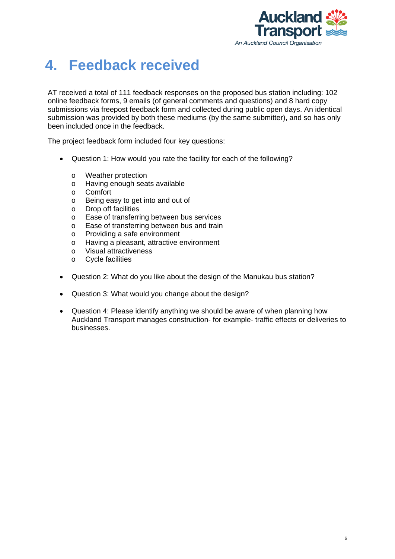

## <span id="page-7-0"></span>**4. Feedback received**

AT received a total of 111 feedback responses on the proposed bus station including: 102 online feedback forms, 9 emails (of general comments and questions) and 8 hard copy submissions via freepost feedback form and collected during public open days. An identical submission was provided by both these mediums (by the same submitter), and so has only been included once in the feedback.

The project feedback form included four key questions:

- Question 1: How would you rate the facility for each of the following?
	-
	- o Weather protection<br>o Having enough sea o Having enough seats available<br>o Comfort
	- Comfort
	- o Being easy to get into and out of
	- o Drop off facilities
	- Ease of transferring between bus services
	- o Ease of transferring between bus and train
	- o Providing a safe environment<br>o Having a pleasant, attractive e
	- o Having a pleasant, attractive environment<br>o Visual attractiveness
	- o Visual attractiveness<br>
	o Cycle facilities
	- **Cycle facilities**
- Question 2: What do you like about the design of the Manukau bus station?
- Question 3: What would you change about the design?
- Question 4: Please identify anything we should be aware of when planning how Auckland Transport manages construction- for example- traffic effects or deliveries to businesses.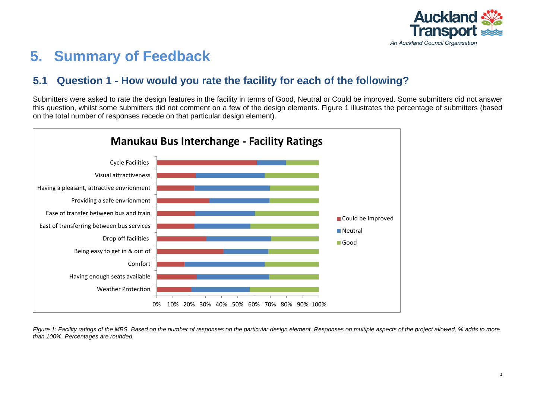

## **5. Summary of Feedback**

### **5.1 Question 1 - How would you rate the facility for each of the following?**

Submitters were asked to rate the design features in the facility in terms of Good, Neutral or Could be improved. Some submitters did not answer this question, whilst some submitters did not comment on a few of the design elements. Figure 1 illustrates the percentage of submitters (based on the total number of responses recede on that particular design element).

<span id="page-8-0"></span>

<span id="page-8-1"></span>*Figure 1: Facility ratings of the MBS. Based on the number of responses on the particular design element. Responses on multiple aspects of the project allowed, % adds to more than 100%. Percentages are rounded.*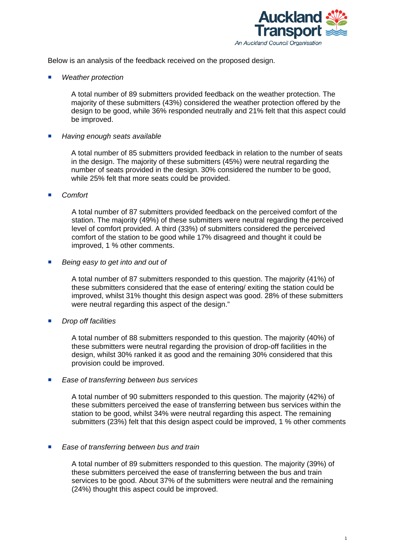

Below is an analysis of the feedback received on the proposed design.

*Weather protection*

A total number of 89 submitters provided feedback on the weather protection. The majority of these submitters (43%) considered the weather protection offered by the design to be good, while 36% responded neutrally and 21% felt that this aspect could be improved.

#### *Having enough seats available*

A total number of 85 submitters provided feedback in relation to the number of seats in the design. The majority of these submitters (45%) were neutral regarding the number of seats provided in the design. 30% considered the number to be good, while 25% felt that more seats could be provided.

#### *Comfort*

A total number of 87 submitters provided feedback on the perceived comfort of the station. The majority (49%) of these submitters were neutral regarding the perceived level of comfort provided. A third (33%) of submitters considered the perceived comfort of the station to be good while 17% disagreed and thought it could be improved, 1 % other comments.

*Being easy to get into and out of*

A total number of 87 submitters responded to this question. The majority (41%) of these submitters considered that the ease of entering/ exiting the station could be improved, whilst 31% thought this design aspect was good. 28% of these submitters were neutral regarding this aspect of the design."

*Drop off facilities*

A total number of 88 submitters responded to this question. The majority (40%) of these submitters were neutral regarding the provision of drop-off facilities in the design, whilst 30% ranked it as good and the remaining 30% considered that this provision could be improved.

*Ease of transferring between bus services*

A total number of 90 submitters responded to this question. The majority (42%) of these submitters perceived the ease of transferring between bus services within the station to be good, whilst 34% were neutral regarding this aspect. The remaining submitters (23%) felt that this design aspect could be improved, 1 % other comments

*Ease of transferring between bus and train*

A total number of 89 submitters responded to this question. The majority (39%) of these submitters perceived the ease of transferring between the bus and train services to be good. About 37% of the submitters were neutral and the remaining (24%) thought this aspect could be improved.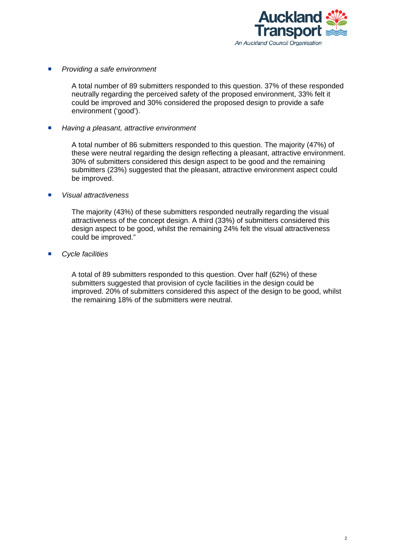

*Providing a safe environment*

A total number of 89 submitters responded to this question. 37% of these responded neutrally regarding the perceived safety of the proposed environment, 33% felt it could be improved and 30% considered the proposed design to provide a safe environment ('good').

■ Having a pleasant, attractive environment

A total number of 86 submitters responded to this question. The majority (47%) of these were neutral regarding the design reflecting a pleasant, attractive environment. 30% of submitters considered this design aspect to be good and the remaining submitters (23%) suggested that the pleasant, attractive environment aspect could be improved.

#### *Visual attractiveness*

The majority (43%) of these submitters responded neutrally regarding the visual attractiveness of the concept design. A third (33%) of submitters considered this design aspect to be good, whilst the remaining 24% felt the visual attractiveness could be improved."

#### *Cycle facilities*

A total of 89 submitters responded to this question. Over half (62%) of these submitters suggested that provision of cycle facilities in the design could be improved. 20% of submitters considered this aspect of the design to be good, whilst the remaining 18% of the submitters were neutral.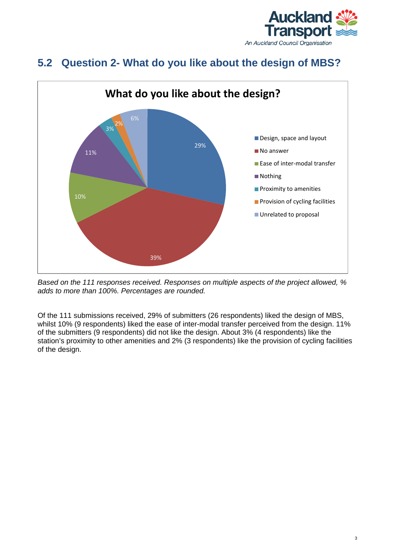

### <span id="page-11-0"></span>**5.2 Question 2- What do you like about the design of MBS?**



*Based on the 111 responses received. Responses on multiple aspects of the project allowed, % adds to more than 100%. Percentages are rounded.*

Of the 111 submissions received, 29% of submitters (26 respondents) liked the design of MBS, whilst 10% (9 respondents) liked the ease of inter-modal transfer perceived from the design. 11% of the submitters (9 respondents) did not like the design. About 3% (4 respondents) like the station's proximity to other amenities and 2% (3 respondents) like the provision of cycling facilities of the design.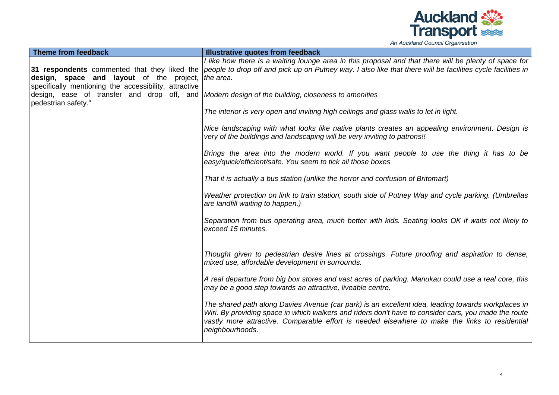

| Theme from feedback                                                                                                                                                | Illustrative quotes from feedback                                                                                                                                                                                                                                                                                               |
|--------------------------------------------------------------------------------------------------------------------------------------------------------------------|---------------------------------------------------------------------------------------------------------------------------------------------------------------------------------------------------------------------------------------------------------------------------------------------------------------------------------|
| 31 respondents commented that they liked the<br><b>design, space and layout</b> of the project, the area.<br>specifically mentioning the accessibility, attractive | I like how there is a waiting lounge area in this proposal and that there will be plenty of space for<br>people to drop off and pick up on Putney way. I also like that there will be facilities cycle facilities in                                                                                                            |
| pedestrian safety."                                                                                                                                                | design, ease of transfer and drop off, and $\vert$ Modern design of the building, closeness to amenities                                                                                                                                                                                                                        |
|                                                                                                                                                                    | The interior is very open and inviting high ceilings and glass walls to let in light.                                                                                                                                                                                                                                           |
|                                                                                                                                                                    | Nice landscaping with what looks like native plants creates an appealing environment. Design is<br>very of the buildings and landscaping will be very inviting to patrons!!                                                                                                                                                     |
|                                                                                                                                                                    | Brings the area into the modern world. If you want people to use the thing it has to be<br>easy/quick/efficient/safe. You seem to tick all those boxes                                                                                                                                                                          |
|                                                                                                                                                                    | That it is actually a bus station (unlike the horror and confusion of Britomart)                                                                                                                                                                                                                                                |
|                                                                                                                                                                    | Weather protection on link to train station, south side of Putney Way and cycle parking. (Umbrellas<br>are landfill waiting to happen.)                                                                                                                                                                                         |
|                                                                                                                                                                    | Separation from bus operating area, much better with kids. Seating looks OK if waits not likely to<br>exceed 15 minutes.                                                                                                                                                                                                        |
|                                                                                                                                                                    | Thought given to pedestrian desire lines at crossings. Future proofing and aspiration to dense,<br>mixed use, affordable development in surrounds.                                                                                                                                                                              |
|                                                                                                                                                                    | A real departure from big box stores and vast acres of parking. Manukau could use a real core, this<br>may be a good step towards an attractive, liveable centre.                                                                                                                                                               |
|                                                                                                                                                                    | The shared path along Davies Avenue (car park) is an excellent idea, leading towards workplaces in<br>Wiri. By providing space in which walkers and riders don't have to consider cars, you made the route<br>vastly more attractive. Comparable effort is needed elsewhere to make the links to residential<br>neighbourhoods. |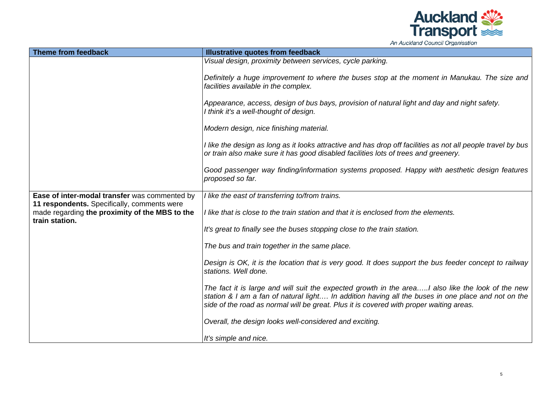

| An Auckland Council Organisation |  |  |
|----------------------------------|--|--|
|----------------------------------|--|--|

| <b>Theme from feedback</b>                                                                                      | <b>Illustrative quotes from feedback</b>                                                                                                                                                                                                                                                           |
|-----------------------------------------------------------------------------------------------------------------|----------------------------------------------------------------------------------------------------------------------------------------------------------------------------------------------------------------------------------------------------------------------------------------------------|
|                                                                                                                 | Visual design, proximity between services, cycle parking.                                                                                                                                                                                                                                          |
|                                                                                                                 | Definitely a huge improvement to where the buses stop at the moment in Manukau. The size and<br>facilities available in the complex.                                                                                                                                                               |
|                                                                                                                 | Appearance, access, design of bus bays, provision of natural light and day and night safety.<br>I think it's a well-thought of design.                                                                                                                                                             |
|                                                                                                                 | Modern design, nice finishing material.                                                                                                                                                                                                                                                            |
|                                                                                                                 | I like the design as long as it looks attractive and has drop off facilities as not all people travel by bus<br>or train also make sure it has good disabled facilities lots of trees and greenery.                                                                                                |
|                                                                                                                 | Good passenger way finding/information systems proposed. Happy with aesthetic design features<br>proposed so far.                                                                                                                                                                                  |
| Ease of inter-modal transfer was commented by                                                                   | I like the east of transferring to/from trains.                                                                                                                                                                                                                                                    |
| 11 respondents. Specifically, comments were<br>made regarding the proximity of the MBS to the<br>train station. | I like that is close to the train station and that it is enclosed from the elements.                                                                                                                                                                                                               |
|                                                                                                                 | It's great to finally see the buses stopping close to the train station.                                                                                                                                                                                                                           |
|                                                                                                                 | The bus and train together in the same place.                                                                                                                                                                                                                                                      |
|                                                                                                                 | Design is OK, it is the location that is very good. It does support the bus feeder concept to railway<br>stations. Well done.                                                                                                                                                                      |
|                                                                                                                 | The fact it is large and will suit the expected growth in the areaI also like the look of the new<br>station & I am a fan of natural light In addition having all the buses in one place and not on the<br>side of the road as normal will be great. Plus it is covered with proper waiting areas. |
|                                                                                                                 | Overall, the design looks well-considered and exciting.                                                                                                                                                                                                                                            |
|                                                                                                                 | It's simple and nice.                                                                                                                                                                                                                                                                              |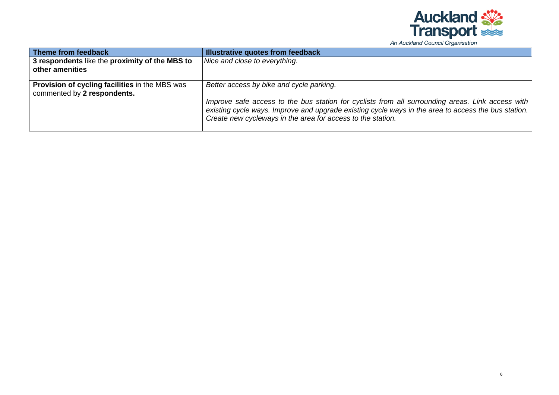

| An Auckland Council Organisation |  |  |
|----------------------------------|--|--|
|----------------------------------|--|--|

| Theme from feedback                                                           | <b>Illustrative quotes from feedback</b>                                                                                                                                                                                                                                                                           |
|-------------------------------------------------------------------------------|--------------------------------------------------------------------------------------------------------------------------------------------------------------------------------------------------------------------------------------------------------------------------------------------------------------------|
| 3 respondents like the proximity of the MBS to<br>other amenities             | Nice and close to everything.                                                                                                                                                                                                                                                                                      |
| Provision of cycling facilities in the MBS was<br>commented by 2 respondents. | Better access by bike and cycle parking.<br>Improve safe access to the bus station for cyclists from all surrounding areas. Link access with<br>existing cycle ways. Improve and upgrade existing cycle ways in the area to access the bus station.<br>Create new cycleways in the area for access to the station. |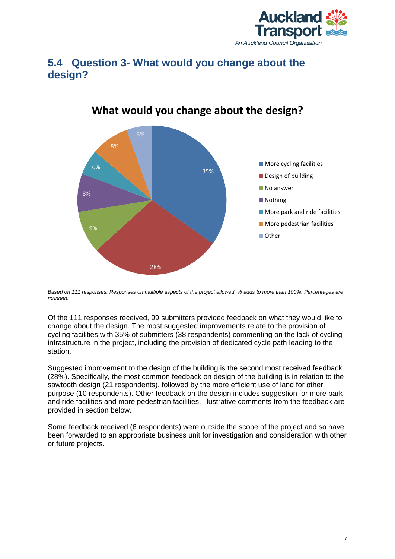



### <span id="page-15-0"></span>**5.4 Question 3- What would you change about the design?**

*Based on 111 responses. Responses on multiple aspects of the project allowed, % adds to more than 100%. Percentages are rounded.*

Of the 111 responses received, 99 submitters provided feedback on what they would like to change about the design. The most suggested improvements relate to the provision of cycling facilities with 35% of submitters (38 respondents) commenting on the lack of cycling infrastructure in the project, including the provision of dedicated cycle path leading to the station.

Suggested improvement to the design of the building is the second most received feedback (28%). Specifically, the most common feedback on design of the building is in relation to the sawtooth design (21 respondents), followed by the more efficient use of land for other purpose (10 respondents). Other feedback on the design includes suggestion for more park and ride facilities and more pedestrian facilities. Illustrative comments from the feedback are provided in section below.

Some feedback received (6 respondents) were outside the scope of the project and so have been forwarded to an appropriate business unit for investigation and consideration with other or future projects.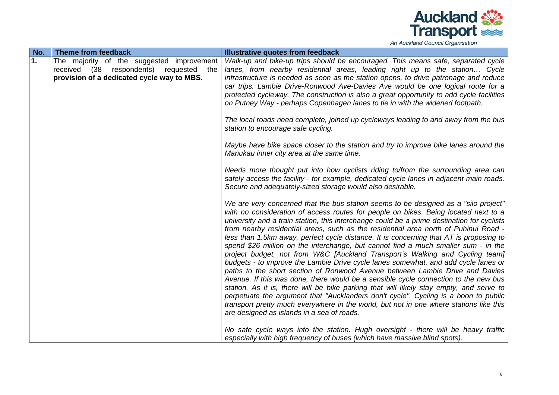

| Theme from feedback<br>Illustrative quotes from feedback                                                                                                                                                                                                                                                                                                                                                                                                                                                                                                                                                                                                                                                                                                                                                                                                                                                                                                                                                                                                                                                                                                                                                                                                                                                                                                                                                                                                                                                                                 | No. |
|------------------------------------------------------------------------------------------------------------------------------------------------------------------------------------------------------------------------------------------------------------------------------------------------------------------------------------------------------------------------------------------------------------------------------------------------------------------------------------------------------------------------------------------------------------------------------------------------------------------------------------------------------------------------------------------------------------------------------------------------------------------------------------------------------------------------------------------------------------------------------------------------------------------------------------------------------------------------------------------------------------------------------------------------------------------------------------------------------------------------------------------------------------------------------------------------------------------------------------------------------------------------------------------------------------------------------------------------------------------------------------------------------------------------------------------------------------------------------------------------------------------------------------------|-----|
| The majority of the suggested improvement<br>Walk-up and bike-up trips should be encouraged. This means safe, separated cycle                                                                                                                                                                                                                                                                                                                                                                                                                                                                                                                                                                                                                                                                                                                                                                                                                                                                                                                                                                                                                                                                                                                                                                                                                                                                                                                                                                                                            | 1.  |
| received (38 respondents) requested the<br>lanes, from nearby residential areas, leading right up to the station Cycle                                                                                                                                                                                                                                                                                                                                                                                                                                                                                                                                                                                                                                                                                                                                                                                                                                                                                                                                                                                                                                                                                                                                                                                                                                                                                                                                                                                                                   |     |
| provision of a dedicated cycle way to MBS.<br>infrastructure is needed as soon as the station opens, to drive patronage and reduce                                                                                                                                                                                                                                                                                                                                                                                                                                                                                                                                                                                                                                                                                                                                                                                                                                                                                                                                                                                                                                                                                                                                                                                                                                                                                                                                                                                                       |     |
| car trips. Lambie Drive-Ronwood Ave-Davies Ave would be one logical route for a                                                                                                                                                                                                                                                                                                                                                                                                                                                                                                                                                                                                                                                                                                                                                                                                                                                                                                                                                                                                                                                                                                                                                                                                                                                                                                                                                                                                                                                          |     |
| protected cycleway. The construction is also a great opportunity to add cycle facilities                                                                                                                                                                                                                                                                                                                                                                                                                                                                                                                                                                                                                                                                                                                                                                                                                                                                                                                                                                                                                                                                                                                                                                                                                                                                                                                                                                                                                                                 |     |
| on Putney Way - perhaps Copenhagen lanes to tie in with the widened footpath.                                                                                                                                                                                                                                                                                                                                                                                                                                                                                                                                                                                                                                                                                                                                                                                                                                                                                                                                                                                                                                                                                                                                                                                                                                                                                                                                                                                                                                                            |     |
|                                                                                                                                                                                                                                                                                                                                                                                                                                                                                                                                                                                                                                                                                                                                                                                                                                                                                                                                                                                                                                                                                                                                                                                                                                                                                                                                                                                                                                                                                                                                          |     |
| The local roads need complete, joined up cycleways leading to and away from the bus                                                                                                                                                                                                                                                                                                                                                                                                                                                                                                                                                                                                                                                                                                                                                                                                                                                                                                                                                                                                                                                                                                                                                                                                                                                                                                                                                                                                                                                      |     |
| station to encourage safe cycling.                                                                                                                                                                                                                                                                                                                                                                                                                                                                                                                                                                                                                                                                                                                                                                                                                                                                                                                                                                                                                                                                                                                                                                                                                                                                                                                                                                                                                                                                                                       |     |
|                                                                                                                                                                                                                                                                                                                                                                                                                                                                                                                                                                                                                                                                                                                                                                                                                                                                                                                                                                                                                                                                                                                                                                                                                                                                                                                                                                                                                                                                                                                                          |     |
|                                                                                                                                                                                                                                                                                                                                                                                                                                                                                                                                                                                                                                                                                                                                                                                                                                                                                                                                                                                                                                                                                                                                                                                                                                                                                                                                                                                                                                                                                                                                          |     |
|                                                                                                                                                                                                                                                                                                                                                                                                                                                                                                                                                                                                                                                                                                                                                                                                                                                                                                                                                                                                                                                                                                                                                                                                                                                                                                                                                                                                                                                                                                                                          |     |
|                                                                                                                                                                                                                                                                                                                                                                                                                                                                                                                                                                                                                                                                                                                                                                                                                                                                                                                                                                                                                                                                                                                                                                                                                                                                                                                                                                                                                                                                                                                                          |     |
|                                                                                                                                                                                                                                                                                                                                                                                                                                                                                                                                                                                                                                                                                                                                                                                                                                                                                                                                                                                                                                                                                                                                                                                                                                                                                                                                                                                                                                                                                                                                          |     |
| Secure and adequately-sized storage would also desirable.                                                                                                                                                                                                                                                                                                                                                                                                                                                                                                                                                                                                                                                                                                                                                                                                                                                                                                                                                                                                                                                                                                                                                                                                                                                                                                                                                                                                                                                                                |     |
|                                                                                                                                                                                                                                                                                                                                                                                                                                                                                                                                                                                                                                                                                                                                                                                                                                                                                                                                                                                                                                                                                                                                                                                                                                                                                                                                                                                                                                                                                                                                          |     |
| We are very concerned that the bus station seems to be designed as a "silo project"                                                                                                                                                                                                                                                                                                                                                                                                                                                                                                                                                                                                                                                                                                                                                                                                                                                                                                                                                                                                                                                                                                                                                                                                                                                                                                                                                                                                                                                      |     |
|                                                                                                                                                                                                                                                                                                                                                                                                                                                                                                                                                                                                                                                                                                                                                                                                                                                                                                                                                                                                                                                                                                                                                                                                                                                                                                                                                                                                                                                                                                                                          |     |
|                                                                                                                                                                                                                                                                                                                                                                                                                                                                                                                                                                                                                                                                                                                                                                                                                                                                                                                                                                                                                                                                                                                                                                                                                                                                                                                                                                                                                                                                                                                                          |     |
|                                                                                                                                                                                                                                                                                                                                                                                                                                                                                                                                                                                                                                                                                                                                                                                                                                                                                                                                                                                                                                                                                                                                                                                                                                                                                                                                                                                                                                                                                                                                          |     |
|                                                                                                                                                                                                                                                                                                                                                                                                                                                                                                                                                                                                                                                                                                                                                                                                                                                                                                                                                                                                                                                                                                                                                                                                                                                                                                                                                                                                                                                                                                                                          |     |
|                                                                                                                                                                                                                                                                                                                                                                                                                                                                                                                                                                                                                                                                                                                                                                                                                                                                                                                                                                                                                                                                                                                                                                                                                                                                                                                                                                                                                                                                                                                                          |     |
|                                                                                                                                                                                                                                                                                                                                                                                                                                                                                                                                                                                                                                                                                                                                                                                                                                                                                                                                                                                                                                                                                                                                                                                                                                                                                                                                                                                                                                                                                                                                          |     |
|                                                                                                                                                                                                                                                                                                                                                                                                                                                                                                                                                                                                                                                                                                                                                                                                                                                                                                                                                                                                                                                                                                                                                                                                                                                                                                                                                                                                                                                                                                                                          |     |
|                                                                                                                                                                                                                                                                                                                                                                                                                                                                                                                                                                                                                                                                                                                                                                                                                                                                                                                                                                                                                                                                                                                                                                                                                                                                                                                                                                                                                                                                                                                                          |     |
|                                                                                                                                                                                                                                                                                                                                                                                                                                                                                                                                                                                                                                                                                                                                                                                                                                                                                                                                                                                                                                                                                                                                                                                                                                                                                                                                                                                                                                                                                                                                          |     |
|                                                                                                                                                                                                                                                                                                                                                                                                                                                                                                                                                                                                                                                                                                                                                                                                                                                                                                                                                                                                                                                                                                                                                                                                                                                                                                                                                                                                                                                                                                                                          |     |
|                                                                                                                                                                                                                                                                                                                                                                                                                                                                                                                                                                                                                                                                                                                                                                                                                                                                                                                                                                                                                                                                                                                                                                                                                                                                                                                                                                                                                                                                                                                                          |     |
|                                                                                                                                                                                                                                                                                                                                                                                                                                                                                                                                                                                                                                                                                                                                                                                                                                                                                                                                                                                                                                                                                                                                                                                                                                                                                                                                                                                                                                                                                                                                          |     |
|                                                                                                                                                                                                                                                                                                                                                                                                                                                                                                                                                                                                                                                                                                                                                                                                                                                                                                                                                                                                                                                                                                                                                                                                                                                                                                                                                                                                                                                                                                                                          |     |
|                                                                                                                                                                                                                                                                                                                                                                                                                                                                                                                                                                                                                                                                                                                                                                                                                                                                                                                                                                                                                                                                                                                                                                                                                                                                                                                                                                                                                                                                                                                                          |     |
| especially with high frequency of buses (which have massive blind spots).                                                                                                                                                                                                                                                                                                                                                                                                                                                                                                                                                                                                                                                                                                                                                                                                                                                                                                                                                                                                                                                                                                                                                                                                                                                                                                                                                                                                                                                                |     |
| Maybe have bike space closer to the station and try to improve bike lanes around the<br>Manukau inner city area at the same time.<br>Needs more thought put into how cyclists riding to/from the surrounding area can<br>safely access the facility - for example, dedicated cycle lanes in adjacent main roads.<br>with no consideration of access routes for people on bikes. Being located next to a<br>university and a train station, this interchange could be a prime destination for cyclists<br>from nearby residential areas, such as the residential area north of Puhinui Road -<br>less than 1.5km away, perfect cycle distance. It is concerning that AT is proposing to<br>spend \$26 million on the interchange, but cannot find a much smaller sum - in the<br>project budget, not from W&C [Auckland Transport's Walking and Cycling team]<br>budgets - to improve the Lambie Drive cycle lanes somewhat, and add cycle lanes or<br>paths to the short section of Ronwood Avenue between Lambie Drive and Davies<br>Avenue. If this was done, there would be a sensible cycle connection to the new bus<br>station. As it is, there will be bike parking that will likely stay empty, and serve to<br>perpetuate the argument that "Aucklanders don't cycle". Cycling is a boon to public<br>transport pretty much everywhere in the world, but not in one where stations like this<br>are designed as islands in a sea of roads.<br>No safe cycle ways into the station. Hugh oversight - there will be heavy traffic |     |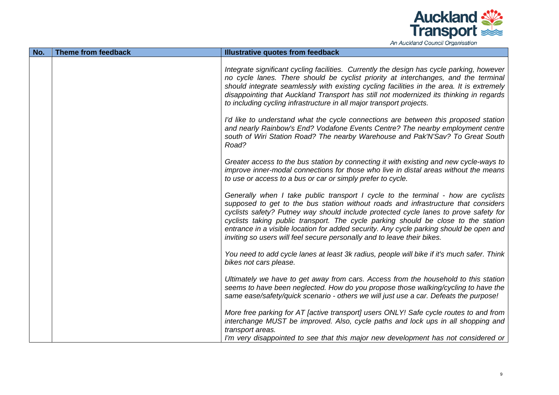

|  |  | An Auckland Council Organisation |  |  |
|--|--|----------------------------------|--|--|
|--|--|----------------------------------|--|--|

| No. | Theme from feedback | Illustrative quotes from feedback                                                                                                                                                                                                                                                                                                                                                                                                                                                                                           |
|-----|---------------------|-----------------------------------------------------------------------------------------------------------------------------------------------------------------------------------------------------------------------------------------------------------------------------------------------------------------------------------------------------------------------------------------------------------------------------------------------------------------------------------------------------------------------------|
|     |                     | Integrate significant cycling facilities. Currently the design has cycle parking, however<br>no cycle lanes. There should be cyclist priority at interchanges, and the terminal<br>should integrate seamlessly with existing cycling facilities in the area. It is extremely<br>disappointing that Auckland Transport has still not modernized its thinking in regards<br>to including cycling infrastructure in all major transport projects.                                                                              |
|     |                     | I'd like to understand what the cycle connections are between this proposed station<br>and nearly Rainbow's End? Vodafone Events Centre? The nearby employment centre<br>south of Wiri Station Road? The nearby Warehouse and Pak'N'Sav? To Great South<br>Road?                                                                                                                                                                                                                                                            |
|     |                     | Greater access to the bus station by connecting it with existing and new cycle-ways to<br>improve inner-modal connections for those who live in distal areas without the means<br>to use or access to a bus or car or simply prefer to cycle.                                                                                                                                                                                                                                                                               |
|     |                     | Generally when I take public transport I cycle to the terminal - how are cyclists<br>supposed to get to the bus station without roads and infrastructure that considers<br>cyclists safety? Putney way should include protected cycle lanes to prove safety for<br>cyclists taking public transport. The cycle parking should be close to the station<br>entrance in a visible location for added security. Any cycle parking should be open and<br>inviting so users will feel secure personally and to leave their bikes. |
|     |                     | You need to add cycle lanes at least 3k radius, people will bike if it's much safer. Think<br>bikes not cars please.                                                                                                                                                                                                                                                                                                                                                                                                        |
|     |                     | Ultimately we have to get away from cars. Access from the household to this station<br>seems to have been neglected. How do you propose those walking/cycling to have the<br>same ease/safety/quick scenario - others we will just use a car. Defeats the purpose!                                                                                                                                                                                                                                                          |
|     |                     | More free parking for AT [active transport] users ONLY! Safe cycle routes to and from<br>interchange MUST be improved. Also, cycle paths and lock ups in all shopping and<br>transport areas.<br>I'm very disappointed to see that this major new development has not considered or                                                                                                                                                                                                                                         |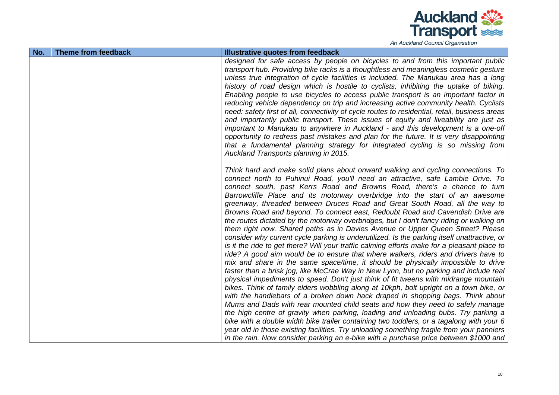

An Auckland Council Organisation

| No. | <b>Theme from feedback</b> | <b>Illustrative quotes from feedback</b>                                                                                                                                                                                                                                                                                                                                                                                                                                                                                                                                                                                                                                                                                                                                                                                                                                                                                                                                                                                                                                                                                                                                                                                                                                                                                                                                                                                                                                                                                                                                                                                                                                                                                                                                                                                                                                   |
|-----|----------------------------|----------------------------------------------------------------------------------------------------------------------------------------------------------------------------------------------------------------------------------------------------------------------------------------------------------------------------------------------------------------------------------------------------------------------------------------------------------------------------------------------------------------------------------------------------------------------------------------------------------------------------------------------------------------------------------------------------------------------------------------------------------------------------------------------------------------------------------------------------------------------------------------------------------------------------------------------------------------------------------------------------------------------------------------------------------------------------------------------------------------------------------------------------------------------------------------------------------------------------------------------------------------------------------------------------------------------------------------------------------------------------------------------------------------------------------------------------------------------------------------------------------------------------------------------------------------------------------------------------------------------------------------------------------------------------------------------------------------------------------------------------------------------------------------------------------------------------------------------------------------------------|
|     |                            | designed for safe access by people on bicycles to and from this important public<br>transport hub. Providing bike racks is a thoughtless and meaningless cosmetic gesture<br>unless true integration of cycle facilities is included. The Manukau area has a long<br>history of road design which is hostile to cyclists, inhibiting the uptake of biking.<br>Enabling people to use bicycles to access public transport is an important factor in<br>reducing vehicle dependency on trip and increasing active community health. Cyclists<br>need: safety first of all, connectivity of cycle routes to residential, retail, business areas<br>and importantly public transport. These issues of equity and liveability are just as<br>important to Manukau to anywhere in Auckland - and this development is a one-off<br>opportunity to redress past mistakes and plan for the future. It is very disappointing<br>that a fundamental planning strategy for integrated cycling is so missing from<br>Auckland Transports planning in 2015.                                                                                                                                                                                                                                                                                                                                                                                                                                                                                                                                                                                                                                                                                                                                                                                                                              |
|     |                            | Think hard and make solid plans about onward walking and cycling connections. To<br>connect north to Puhinui Road, you'll need an attractive, safe Lambie Drive. To<br>connect south, past Kerrs Road and Browns Road, there's a chance to turn<br>Barrowcliffe Place and its motorway overbridge into the start of an awesome<br>greenway, threaded between Druces Road and Great South Road, all the way to<br>Browns Road and beyond. To connect east, Redoubt Road and Cavendish Drive are<br>the routes dictated by the motorway overbridges, but I don't fancy riding or walking on<br>them right now. Shared paths as in Davies Avenue or Upper Queen Street? Please<br>consider why current cycle parking is underutilized. Is the parking itself unattractive, or<br>is it the ride to get there? Will your traffic calming efforts make for a pleasant place to<br>ride? A good aim would be to ensure that where walkers, riders and drivers have to<br>mix and share in the same space/time, it should be physically impossible to drive<br>faster than a brisk jog, like McCrae Way in New Lynn, but no parking and include real<br>physical impediments to speed. Don't just think of fit tweens with midrange mountain<br>bikes. Think of family elders wobbling along at 10kph, bolt upright on a town bike, or<br>with the handlebars of a broken down hack draped in shopping bags. Think about<br>Mums and Dads with rear mounted child seats and how they need to safely manage<br>the high centre of gravity when parking, loading and unloading bubs. Try parking a<br>bike with a double width bike trailer containing two toddlers, or a tagalong with your 6<br>year old in those existing facilities. Try unloading something fragile from your panniers<br>in the rain. Now consider parking an e-bike with a purchase price between \$1000 and |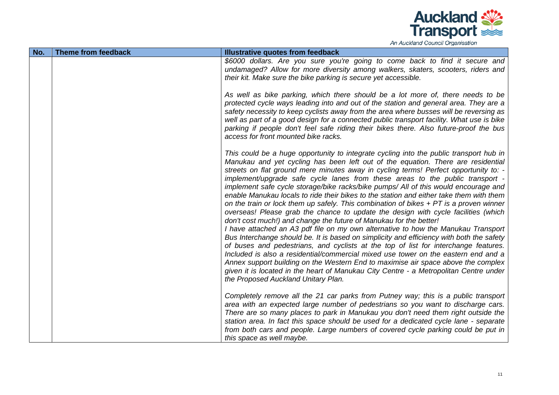

| An Auckland Council Organisation |
|----------------------------------|
|----------------------------------|

| No. | Theme from feedback | Illustrative quotes from feedback                                                                                                                                                                                                                                                                                                                                                                                                                                                                                                                                                                                                                                                                                                                                                                                                                                                                                                                                                                                                                                                                                                                                                                                                                                                                                                                                                |
|-----|---------------------|----------------------------------------------------------------------------------------------------------------------------------------------------------------------------------------------------------------------------------------------------------------------------------------------------------------------------------------------------------------------------------------------------------------------------------------------------------------------------------------------------------------------------------------------------------------------------------------------------------------------------------------------------------------------------------------------------------------------------------------------------------------------------------------------------------------------------------------------------------------------------------------------------------------------------------------------------------------------------------------------------------------------------------------------------------------------------------------------------------------------------------------------------------------------------------------------------------------------------------------------------------------------------------------------------------------------------------------------------------------------------------|
|     |                     | \$6000 dollars. Are you sure you're going to come back to find it secure and<br>undamaged? Allow for more diversity among walkers, skaters, scooters, riders and<br>their kit. Make sure the bike parking is secure yet accessible.                                                                                                                                                                                                                                                                                                                                                                                                                                                                                                                                                                                                                                                                                                                                                                                                                                                                                                                                                                                                                                                                                                                                              |
|     |                     | As well as bike parking, which there should be a lot more of, there needs to be<br>protected cycle ways leading into and out of the station and general area. They are a<br>safety necessity to keep cyclists away from the area where busses will be reversing as<br>well as part of a good design for a connected public transport facility. What use is bike<br>parking if people don't feel safe riding their bikes there. Also future-proof the bus<br>access for front mounted bike racks.                                                                                                                                                                                                                                                                                                                                                                                                                                                                                                                                                                                                                                                                                                                                                                                                                                                                                 |
|     |                     | This could be a huge opportunity to integrate cycling into the public transport hub in<br>Manukau and yet cycling has been left out of the equation. There are residential<br>streets on flat ground mere minutes away in cycling terms! Perfect opportunity to: -<br>implement/upgrade safe cycle lanes from these areas to the public transport -<br>implement safe cycle storage/bike racks/bike pumps/ All of this would encourage and<br>enable Manukau locals to ride their bikes to the station and either take them with them<br>on the train or lock them up safely. This combination of bikes $+$ PT is a proven winner<br>overseas! Please grab the chance to update the design with cycle facilities (which<br>don't cost much!) and change the future of Manukau for the better!<br>I have attached an A3 pdf file on my own alternative to how the Manukau Transport<br>Bus Interchange should be. It is based on simplicity and efficiency with both the safety<br>of buses and pedestrians, and cyclists at the top of list for interchange features.<br>Included is also a residential/commercial mixed use tower on the eastern end and a<br>Annex support building on the Western End to maximise air space above the complex<br>given it is located in the heart of Manukau City Centre - a Metropolitan Centre under<br>the Proposed Auckland Unitary Plan. |
|     |                     | Completely remove all the 21 car parks from Putney way; this is a public transport<br>area with an expected large number of pedestrians so you want to discharge cars.<br>There are so many places to park in Manukau you don't need them right outside the<br>station area. In fact this space should be used for a dedicated cycle lane - separate<br>from both cars and people. Large numbers of covered cycle parking could be put in<br>this space as well maybe.                                                                                                                                                                                                                                                                                                                                                                                                                                                                                                                                                                                                                                                                                                                                                                                                                                                                                                           |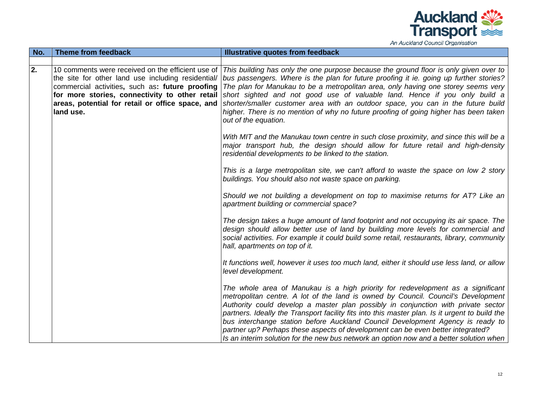

| No. | Theme from feedback                                                                                                                                                                                                      | Illustrative quotes from feedback                                                                                                                                                                                                                                                                                                                                                                                                                                                                                                                                                                                           |
|-----|--------------------------------------------------------------------------------------------------------------------------------------------------------------------------------------------------------------------------|-----------------------------------------------------------------------------------------------------------------------------------------------------------------------------------------------------------------------------------------------------------------------------------------------------------------------------------------------------------------------------------------------------------------------------------------------------------------------------------------------------------------------------------------------------------------------------------------------------------------------------|
|     |                                                                                                                                                                                                                          |                                                                                                                                                                                                                                                                                                                                                                                                                                                                                                                                                                                                                             |
| 2.  | the site for other land use including residential/<br>commercial activities, such as: future proofing<br>for more stories, connectivity to other retail<br>areas, potential for retail or office space, and<br>land use. | 10 comments were received on the efficient use of This building has only the one purpose because the ground floor is only given over to<br>bus passengers. Where is the plan for future proofing it ie. going up further stories?<br>The plan for Manukau to be a metropolitan area, only having one storey seems very<br>short sighted and not good use of valuable land. Hence if you only build a<br>shorter/smaller customer area with an outdoor space, you can in the future build<br>higher. There is no mention of why no future proofing of going higher has been taken<br>out of the equation.                    |
|     |                                                                                                                                                                                                                          | With MIT and the Manukau town centre in such close proximity, and since this will be a<br>major transport hub, the design should allow for future retail and high-density<br>residential developments to be linked to the station.                                                                                                                                                                                                                                                                                                                                                                                          |
|     |                                                                                                                                                                                                                          | This is a large metropolitan site, we can't afford to waste the space on low 2 story<br>buildings. You should also not waste space on parking.                                                                                                                                                                                                                                                                                                                                                                                                                                                                              |
|     |                                                                                                                                                                                                                          | Should we not building a development on top to maximise returns for AT? Like an<br>apartment building or commercial space?                                                                                                                                                                                                                                                                                                                                                                                                                                                                                                  |
|     |                                                                                                                                                                                                                          | The design takes a huge amount of land footprint and not occupying its air space. The<br>design should allow better use of land by building more levels for commercial and<br>social activities. For example it could build some retail, restaurants, library, community<br>hall, apartments on top of it.                                                                                                                                                                                                                                                                                                                  |
|     |                                                                                                                                                                                                                          | It functions well, however it uses too much land, either it should use less land, or allow<br>level development.                                                                                                                                                                                                                                                                                                                                                                                                                                                                                                            |
|     |                                                                                                                                                                                                                          | The whole area of Manukau is a high priority for redevelopment as a significant<br>metropolitan centre. A lot of the land is owned by Council. Council's Development<br>Authority could develop a master plan possibly in conjunction with private sector<br>partners. Ideally the Transport facility fits into this master plan. Is it urgent to build the<br>bus interchange station before Auckland Council Development Agency is ready to<br>partner up? Perhaps these aspects of development can be even better integrated?<br>Is an interim solution for the new bus network an option now and a better solution when |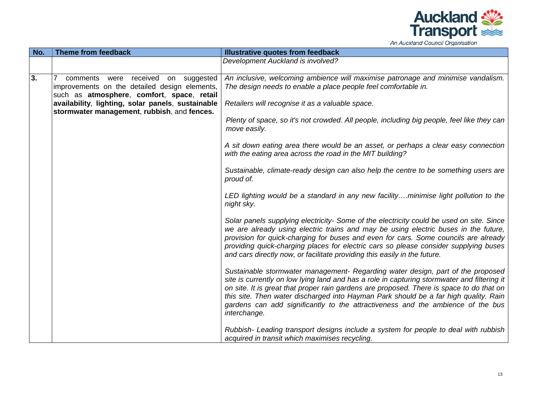

| No. | <b>Theme from feedback</b>                                                                                                         | <b>Illustrative quotes from feedback</b>                                                                                                                                                                                                                                                                                                                                                                                                                              |
|-----|------------------------------------------------------------------------------------------------------------------------------------|-----------------------------------------------------------------------------------------------------------------------------------------------------------------------------------------------------------------------------------------------------------------------------------------------------------------------------------------------------------------------------------------------------------------------------------------------------------------------|
|     |                                                                                                                                    | Development Auckland is involved?                                                                                                                                                                                                                                                                                                                                                                                                                                     |
| 3.  | comments were received on suggested<br>improvements on the detailed design elements,<br>such as atmosphere, comfort, space, retail | An inclusive, welcoming ambience will maximise patronage and minimise vandalism.<br>The design needs to enable a place people feel comfortable in.                                                                                                                                                                                                                                                                                                                    |
|     | availability, lighting, solar panels, sustainable<br>stormwater management, rubbish, and fences.                                   | Retailers will recognise it as a valuable space.                                                                                                                                                                                                                                                                                                                                                                                                                      |
|     |                                                                                                                                    | Plenty of space, so it's not crowded. All people, including big people, feel like they can<br>move easily.                                                                                                                                                                                                                                                                                                                                                            |
|     |                                                                                                                                    | A sit down eating area there would be an asset, or perhaps a clear easy connection<br>with the eating area across the road in the MIT building?                                                                                                                                                                                                                                                                                                                       |
|     |                                                                                                                                    | Sustainable, climate-ready design can also help the centre to be something users are<br>proud of.                                                                                                                                                                                                                                                                                                                                                                     |
|     |                                                                                                                                    | LED lighting would be a standard in any new facilityminimise light pollution to the<br>night sky.                                                                                                                                                                                                                                                                                                                                                                     |
|     |                                                                                                                                    | Solar panels supplying electricity- Some of the electricity could be used on site. Since<br>we are already using electric trains and may be using electric buses in the future,<br>provision for quick-charging for buses and even for cars. Some councils are already<br>providing quick-charging places for electric cars so please consider supplying buses<br>and cars directly now, or facilitate providing this easily in the future.                           |
|     |                                                                                                                                    | Sustainable stormwater management- Regarding water design, part of the proposed<br>site is currently on low lying land and has a role in capturing stormwater and filtering it<br>on site. It is great that proper rain gardens are proposed. There is space to do that on<br>this site. Then water discharged into Hayman Park should be a far high quality. Rain<br>gardens can add significantly to the attractiveness and the ambience of the bus<br>interchange. |
|     |                                                                                                                                    | Rubbish- Leading transport designs include a system for people to deal with rubbish<br>acquired in transit which maximises recycling.                                                                                                                                                                                                                                                                                                                                 |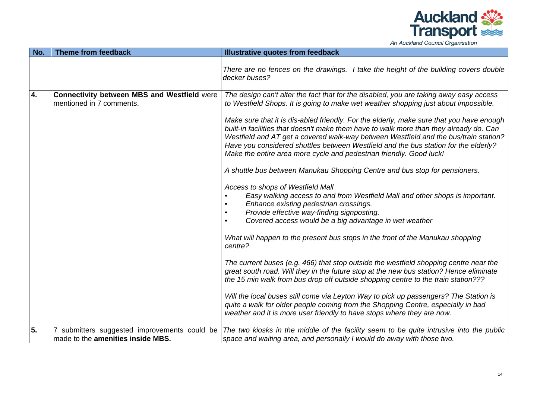

| No. | Theme from feedback                                                            | Illustrative quotes from feedback                                                                                                                                                                                                                                                                                                                                                                                                                                                                                                                                                                                                                                                                                                                                                                                            |
|-----|--------------------------------------------------------------------------------|------------------------------------------------------------------------------------------------------------------------------------------------------------------------------------------------------------------------------------------------------------------------------------------------------------------------------------------------------------------------------------------------------------------------------------------------------------------------------------------------------------------------------------------------------------------------------------------------------------------------------------------------------------------------------------------------------------------------------------------------------------------------------------------------------------------------------|
|     |                                                                                | There are no fences on the drawings. I take the height of the building covers double<br>decker buses?                                                                                                                                                                                                                                                                                                                                                                                                                                                                                                                                                                                                                                                                                                                        |
| 4.  | <b>Connectivity between MBS and Westfield were</b><br>mentioned in 7 comments. | The design can't alter the fact that for the disabled, you are taking away easy access<br>to Westfield Shops. It is going to make wet weather shopping just about impossible.<br>Make sure that it is dis-abled friendly. For the elderly, make sure that you have enough<br>built-in facilities that doesn't make them have to walk more than they already do. Can<br>Westfield and AT get a covered walk-way between Westfield and the bus/train station?<br>Have you considered shuttles between Westfield and the bus station for the elderly?<br>Make the entire area more cycle and pedestrian friendly. Good luck!<br>A shuttle bus between Manukau Shopping Centre and bus stop for pensioners.<br>Access to shops of Westfield Mall<br>Easy walking access to and from Westfield Mall and other shops is important. |
|     |                                                                                | Enhance existing pedestrian crossings.<br>Provide effective way-finding signposting.<br>Covered access would be a big advantage in wet weather<br>What will happen to the present bus stops in the front of the Manukau shopping<br>centre?                                                                                                                                                                                                                                                                                                                                                                                                                                                                                                                                                                                  |
|     |                                                                                | The current buses (e.g. 466) that stop outside the westfield shopping centre near the<br>great south road. Will they in the future stop at the new bus station? Hence eliminate<br>the 15 min walk from bus drop off outside shopping centre to the train station???                                                                                                                                                                                                                                                                                                                                                                                                                                                                                                                                                         |
|     |                                                                                | Will the local buses still come via Leyton Way to pick up passengers? The Station is<br>quite a walk for older people coming from the Shopping Centre, especially in bad<br>weather and it is more user friendly to have stops where they are now.                                                                                                                                                                                                                                                                                                                                                                                                                                                                                                                                                                           |
| 5.  | made to the amenities inside MBS.                                              | 7 submitters suggested improvements could be The two kiosks in the middle of the facility seem to be quite intrusive into the public<br>space and waiting area, and personally I would do away with those two.                                                                                                                                                                                                                                                                                                                                                                                                                                                                                                                                                                                                               |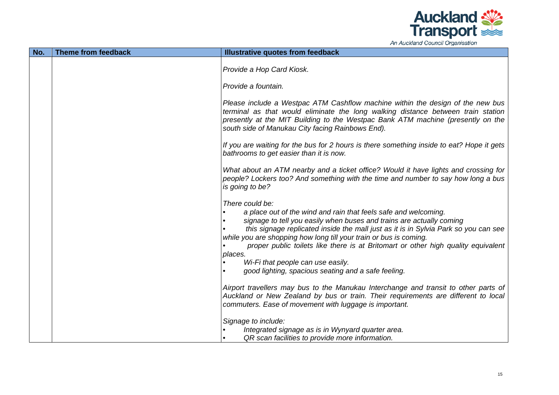

An Auckland Council Organisation

| No. | Theme from feedback | Illustrative quotes from feedback                                                                                                                                                                                                                                                                                                                                                                                                                                                                                                                                                                         |
|-----|---------------------|-----------------------------------------------------------------------------------------------------------------------------------------------------------------------------------------------------------------------------------------------------------------------------------------------------------------------------------------------------------------------------------------------------------------------------------------------------------------------------------------------------------------------------------------------------------------------------------------------------------|
|     |                     | Provide a Hop Card Kiosk.                                                                                                                                                                                                                                                                                                                                                                                                                                                                                                                                                                                 |
|     |                     | Provide a fountain.                                                                                                                                                                                                                                                                                                                                                                                                                                                                                                                                                                                       |
|     |                     | Please include a Westpac ATM Cashflow machine within the design of the new bus<br>terminal as that would eliminate the long walking distance between train station<br>presently at the MIT Building to the Westpac Bank ATM machine (presently on the<br>south side of Manukau City facing Rainbows End).                                                                                                                                                                                                                                                                                                 |
|     |                     | If you are waiting for the bus for 2 hours is there something inside to eat? Hope it gets<br>bathrooms to get easier than it is now.                                                                                                                                                                                                                                                                                                                                                                                                                                                                      |
|     |                     | What about an ATM nearby and a ticket office? Would it have lights and crossing for<br>people? Lockers too? And something with the time and number to say how long a bus<br>is going to be?                                                                                                                                                                                                                                                                                                                                                                                                               |
|     |                     | There could be:<br>a place out of the wind and rain that feels safe and welcoming.<br>signage to tell you easily when buses and trains are actually coming<br>this signage replicated inside the mall just as it is in Sylvia Park so you can see<br>while you are shopping how long till your train or bus is coming.<br>proper public toilets like there is at Britomart or other high quality equivalent<br>places.<br>Wi-Fi that people can use easily.<br>good lighting, spacious seating and a safe feeling.<br>Airport travellers may bus to the Manukau Interchange and transit to other parts of |
|     |                     | Auckland or New Zealand by bus or train. Their requirements are different to local<br>commuters. Ease of movement with luggage is important.                                                                                                                                                                                                                                                                                                                                                                                                                                                              |
|     |                     | Signage to include:<br>Integrated signage as is in Wynyard quarter area.<br>QR scan facilities to provide more information.                                                                                                                                                                                                                                                                                                                                                                                                                                                                               |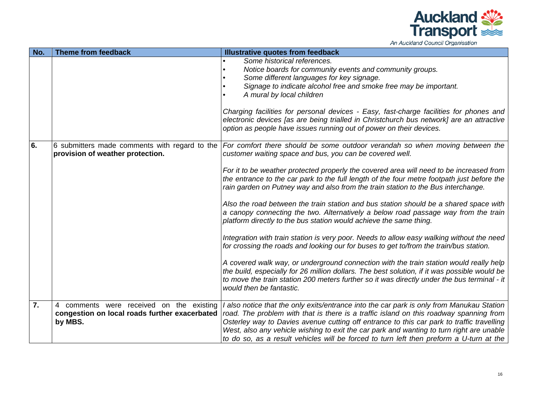

| No. | Theme from feedback                           | Illustrative quotes from feedback                                                                                                                                                                                                                                                                                 |
|-----|-----------------------------------------------|-------------------------------------------------------------------------------------------------------------------------------------------------------------------------------------------------------------------------------------------------------------------------------------------------------------------|
|     |                                               | Some historical references.                                                                                                                                                                                                                                                                                       |
|     |                                               | Notice boards for community events and community groups.                                                                                                                                                                                                                                                          |
|     |                                               | Some different languages for key signage.                                                                                                                                                                                                                                                                         |
|     |                                               | Signage to indicate alcohol free and smoke free may be important.                                                                                                                                                                                                                                                 |
|     |                                               | A mural by local children                                                                                                                                                                                                                                                                                         |
|     |                                               | Charging facilities for personal devices - Easy, fast-charge facilities for phones and                                                                                                                                                                                                                            |
|     |                                               | electronic devices [as are being trialled in Christchurch bus network] are an attractive                                                                                                                                                                                                                          |
|     |                                               | option as people have issues running out of power on their devices.                                                                                                                                                                                                                                               |
| 6.  | provision of weather protection.              | 6 submitters made comments with regard to the For comfort there should be some outdoor verandah so when moving between the<br>customer waiting space and bus, you can be covered well.                                                                                                                            |
|     |                                               | For it to be weather protected properly the covered area will need to be increased from<br>the entrance to the car park to the full length of the four metre footpath just before the<br>rain garden on Putney way and also from the train station to the Bus interchange.                                        |
|     |                                               | Also the road between the train station and bus station should be a shared space with<br>a canopy connecting the two. Alternatively a below road passage way from the train<br>platform directly to the bus station would achieve the same thing.                                                                 |
|     |                                               | Integration with train station is very poor. Needs to allow easy walking without the need<br>for crossing the roads and looking our for buses to get to/from the train/bus station.                                                                                                                               |
|     |                                               | A covered walk way, or underground connection with the train station would really help<br>the build, especially for 26 million dollars. The best solution, if it was possible would be<br>to move the train station 200 meters further so it was directly under the bus terminal - it<br>would then be fantastic. |
| 7.  | comments were received on the existing<br>4   | I also notice that the only exits/entrance into the car park is only from Manukau Station                                                                                                                                                                                                                         |
|     | congestion on local roads further exacerbated | road. The problem with that is there is a traffic island on this roadway spanning from                                                                                                                                                                                                                            |
|     | by MBS.                                       | Osterley way to Davies avenue cutting off entrance to this car park to traffic travelling                                                                                                                                                                                                                         |
|     |                                               | West, also any vehicle wishing to exit the car park and wanting to turn right are unable                                                                                                                                                                                                                          |
|     |                                               | to do so, as a result vehicles will be forced to turn left then preform a U-turn at the                                                                                                                                                                                                                           |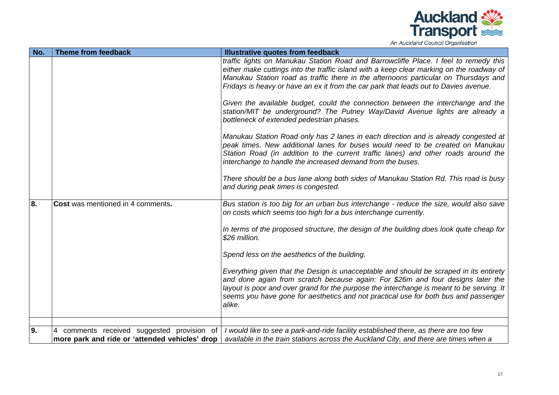

| No. | Theme from feedback                                  | Illustrative quotes from feedback                                                                                                                                                                                                                                                                                                                                      |
|-----|------------------------------------------------------|------------------------------------------------------------------------------------------------------------------------------------------------------------------------------------------------------------------------------------------------------------------------------------------------------------------------------------------------------------------------|
|     |                                                      | traffic lights on Manukau Station Road and Barrowcliffe Place. I feel to remedy this                                                                                                                                                                                                                                                                                   |
|     |                                                      | either make cuttings into the traffic island with a keep clear marking on the roadway of                                                                                                                                                                                                                                                                               |
|     |                                                      | Manukau Station road as traffic there in the afternoons particular on Thursdays and                                                                                                                                                                                                                                                                                    |
|     |                                                      | Fridays is heavy or have an ex it from the car park that leads out to Davies avenue.                                                                                                                                                                                                                                                                                   |
|     |                                                      | Given the available budget, could the connection between the interchange and the                                                                                                                                                                                                                                                                                       |
|     |                                                      | station/MIT be underground? The Putney Way/David Avenue lights are already a<br>bottleneck of extended pedestrian phases.                                                                                                                                                                                                                                              |
|     |                                                      | Manukau Station Road only has 2 lanes in each direction and is already congested at                                                                                                                                                                                                                                                                                    |
|     |                                                      | peak times. New additional lanes for buses would need to be created on Manukau<br>Station Road (in addition to the current traffic lanes) and other roads around the<br>interchange to handle the increased demand from the buses.                                                                                                                                     |
|     |                                                      |                                                                                                                                                                                                                                                                                                                                                                        |
|     |                                                      | There should be a bus lane along both sides of Manukau Station Rd. This road is busy<br>and during peak times is congested.                                                                                                                                                                                                                                            |
| 8.  | Cost was mentioned in 4 comments.                    |                                                                                                                                                                                                                                                                                                                                                                        |
|     |                                                      | Bus station is too big for an urban bus interchange - reduce the size, would also save<br>on costs which seems too high for a bus interchange currently.                                                                                                                                                                                                               |
|     |                                                      | In terms of the proposed structure, the design of the building does look quite cheap for<br>\$26 million.                                                                                                                                                                                                                                                              |
|     |                                                      | Spend less on the aesthetics of the building.                                                                                                                                                                                                                                                                                                                          |
|     |                                                      | Everything given that the Design is unacceptable and should be scraped in its entirety<br>and done again from scratch because again: For \$26m and four designs later the<br>layout is poor and over grand for the purpose the interchange is meant to be serving. It<br>seems you have gone for aesthetics and not practical use for both bus and passenger<br>alike. |
|     |                                                      |                                                                                                                                                                                                                                                                                                                                                                        |
| 9.  | comments received suggested provision of<br><b>4</b> | I would like to see a park-and-ride facility established there, as there are too few                                                                                                                                                                                                                                                                                   |
|     | more park and ride or 'attended vehicles' drop       | available in the train stations across the Auckland City, and there are times when a                                                                                                                                                                                                                                                                                   |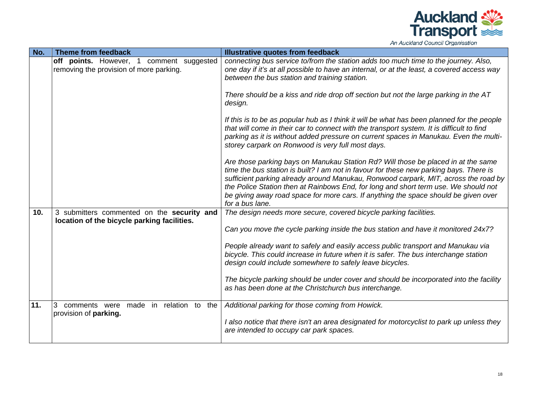

| No. | Theme from feedback                         | Illustrative quotes from feedback                                                                                                          |
|-----|---------------------------------------------|--------------------------------------------------------------------------------------------------------------------------------------------|
|     | off points. However, 1<br>comment suggested | connecting bus service to/from the station adds too much time to the journey. Also,                                                        |
|     | removing the provision of more parking.     | one day if it's at all possible to have an internal, or at the least, a covered access way                                                 |
|     |                                             | between the bus station and training station.                                                                                              |
|     |                                             |                                                                                                                                            |
|     |                                             | There should be a kiss and ride drop off section but not the large parking in the AT                                                       |
|     |                                             | design.                                                                                                                                    |
|     |                                             |                                                                                                                                            |
|     |                                             | If this is to be as popular hub as I think it will be what has been planned for the people                                                 |
|     |                                             | that will come in their car to connect with the transport system. It is difficult to find                                                  |
|     |                                             |                                                                                                                                            |
|     |                                             | parking as it is without added pressure on current spaces in Manukau. Even the multi-<br>storey carpark on Ronwood is very full most days. |
|     |                                             |                                                                                                                                            |
|     |                                             |                                                                                                                                            |
|     |                                             | Are those parking bays on Manukau Station Rd? Will those be placed in at the same                                                          |
|     |                                             | time the bus station is built? I am not in favour for these new parking bays. There is                                                     |
|     |                                             | sufficient parking already around Manukau, Ronwood carpark, MIT, across the road by                                                        |
|     |                                             | the Police Station then at Rainbows End, for long and short term use. We should not                                                        |
|     |                                             | be giving away road space for more cars. If anything the space should be given over                                                        |
|     |                                             | for a bus lane.                                                                                                                            |
| 10. | 3 submitters commented on the security and  | The design needs more secure, covered bicycle parking facilities.                                                                          |
|     | location of the bicycle parking facilities. |                                                                                                                                            |
|     |                                             | Can you move the cycle parking inside the bus station and have it monitored 24x7?                                                          |
|     |                                             |                                                                                                                                            |
|     |                                             | People already want to safely and easily access public transport and Manukau via                                                           |
|     |                                             | bicycle. This could increase in future when it is safer. The bus interchange station                                                       |
|     |                                             | design could include somewhere to safely leave bicycles.                                                                                   |
|     |                                             |                                                                                                                                            |
|     |                                             | The bicycle parking should be under cover and should be incorporated into the facility                                                     |
|     |                                             | as has been done at the Christchurch bus interchange.                                                                                      |
|     |                                             |                                                                                                                                            |
| 11. | 3<br>comments were made in relation to the  | Additional parking for those coming from Howick.                                                                                           |
|     | provision of <b>parking</b> .               |                                                                                                                                            |
|     |                                             | I also notice that there isn't an area designated for motorcyclist to park up unless they                                                  |
|     |                                             | are intended to occupy car park spaces.                                                                                                    |
|     |                                             |                                                                                                                                            |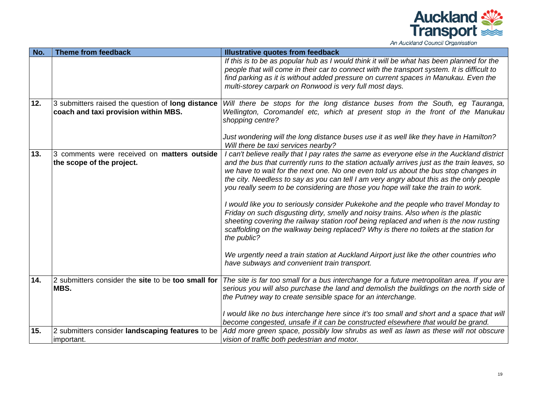

| No. | Theme from feedback                                                                       | Illustrative quotes from feedback                                                                                                                                                                                                                                                                                                                                                                                                                                                                                                                                                                                                                                                                                                                                                                                                                                                                                                                                                                                                |
|-----|-------------------------------------------------------------------------------------------|----------------------------------------------------------------------------------------------------------------------------------------------------------------------------------------------------------------------------------------------------------------------------------------------------------------------------------------------------------------------------------------------------------------------------------------------------------------------------------------------------------------------------------------------------------------------------------------------------------------------------------------------------------------------------------------------------------------------------------------------------------------------------------------------------------------------------------------------------------------------------------------------------------------------------------------------------------------------------------------------------------------------------------|
|     |                                                                                           | If this is to be as popular hub as I would think it will be what has been planned for the<br>people that will come in their car to connect with the transport system. It is difficult to<br>find parking as it is without added pressure on current spaces in Manukau. Even the<br>multi-storey carpark on Ronwood is very full most days.                                                                                                                                                                                                                                                                                                                                                                                                                                                                                                                                                                                                                                                                                       |
| 12. | 3 submitters raised the question of long distance<br>coach and taxi provision within MBS. | Will there be stops for the long distance buses from the South, eg Tauranga,<br>Wellington, Coromandel etc, which at present stop in the front of the Manukau<br>shopping centre?<br>Just wondering will the long distance buses use it as well like they have in Hamilton?                                                                                                                                                                                                                                                                                                                                                                                                                                                                                                                                                                                                                                                                                                                                                      |
| 13. | 3 comments were received on matters outside<br>the scope of the project.                  | Will there be taxi services nearby?<br>I can't believe really that I pay rates the same as everyone else in the Auckland district<br>and the bus that currently runs to the station actually arrives just as the train leaves, so<br>we have to wait for the next one. No one even told us about the bus stop changes in<br>the city. Needless to say as you can tell I am very angry about this as the only people<br>you really seem to be considering are those you hope will take the train to work.<br>I would like you to seriously consider Pukekohe and the people who travel Monday to<br>Friday on such disgusting dirty, smelly and noisy trains. Also when is the plastic<br>sheeting covering the railway station roof being replaced and when is the now rusting<br>scaffolding on the walkway being replaced? Why is there no toilets at the station for<br>the public?<br>We urgently need a train station at Auckland Airport just like the other countries who<br>have subways and convenient train transport. |
| 14. | 2 submitters consider the site to be too small for<br>MBS.                                | The site is far too small for a bus interchange for a future metropolitan area. If you are<br>serious you will also purchase the land and demolish the buildings on the north side of<br>the Putney way to create sensible space for an interchange.<br>I would like no bus interchange here since it's too small and short and a space that will<br>become congested, unsafe if it can be constructed elsewhere that would be grand.                                                                                                                                                                                                                                                                                                                                                                                                                                                                                                                                                                                            |
| 15. | 2 submitters consider landscaping features to be                                          | Add more green space, possibly low shrubs as well as lawn as these will not obscure                                                                                                                                                                                                                                                                                                                                                                                                                                                                                                                                                                                                                                                                                                                                                                                                                                                                                                                                              |
|     | important.                                                                                | vision of traffic both pedestrian and motor.                                                                                                                                                                                                                                                                                                                                                                                                                                                                                                                                                                                                                                                                                                                                                                                                                                                                                                                                                                                     |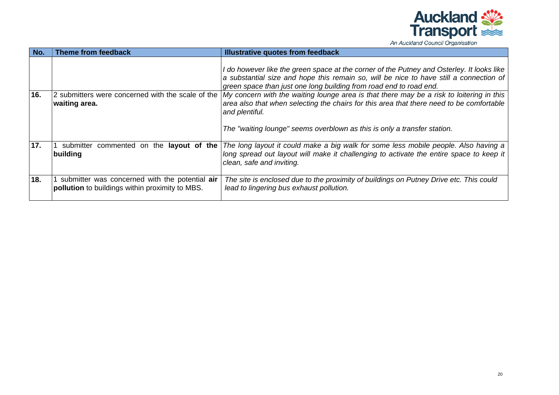

| An Auckland Council Organisation |  |  |
|----------------------------------|--|--|
|----------------------------------|--|--|

| No. | <b>Theme from feedback</b>                                                                               | <b>Illustrative quotes from feedback</b>                                                                                                                                                                                                                                                                                                                                                                                                                                                                                                                                                             |
|-----|----------------------------------------------------------------------------------------------------------|------------------------------------------------------------------------------------------------------------------------------------------------------------------------------------------------------------------------------------------------------------------------------------------------------------------------------------------------------------------------------------------------------------------------------------------------------------------------------------------------------------------------------------------------------------------------------------------------------|
| 16. | waiting area.                                                                                            | I do however like the green space at the corner of the Putney and Osterley. It looks like<br>a substantial size and hope this remain so, will be nice to have still a connection of<br>green space than just one long building from road end to road end.<br>2 submitters were concerned with the scale of the $ My$ concern with the waiting lounge area is that there may be a risk to loitering in this<br>area also that when selecting the chairs for this area that there need to be comfortable<br>and plentiful.<br>The "waiting lounge" seems overblown as this is only a transfer station. |
| 17. | commented on the <b>layout of the</b><br>submitter<br>building                                           | The long layout it could make a big walk for some less mobile people. Also having a<br>long spread out layout will make it challenging to activate the entire space to keep it<br>clean, safe and inviting.                                                                                                                                                                                                                                                                                                                                                                                          |
| 18. | submitter was concerned with the potential air<br><b>pollution</b> to buildings within proximity to MBS. | The site is enclosed due to the proximity of buildings on Putney Drive etc. This could<br>lead to lingering bus exhaust pollution.                                                                                                                                                                                                                                                                                                                                                                                                                                                                   |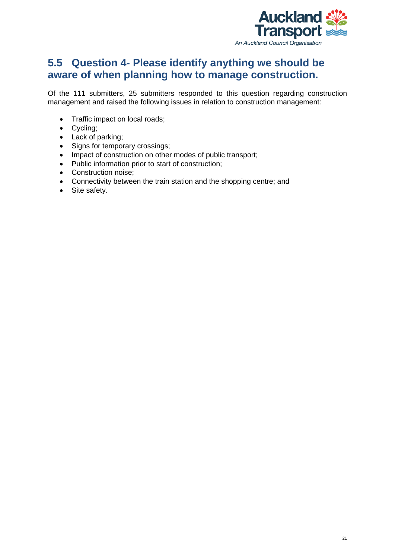

### <span id="page-29-0"></span>**5.5 Question 4- Please identify anything we should be aware of when planning how to manage construction.**

Of the 111 submitters, 25 submitters responded to this question regarding construction management and raised the following issues in relation to construction management:

- Traffic impact on local roads;
- Cycling;
- Lack of parking;
- Signs for temporary crossings;
- Impact of construction on other modes of public transport;
- Public information prior to start of construction;
- Construction noise;
- Connectivity between the train station and the shopping centre; and
- Site safety.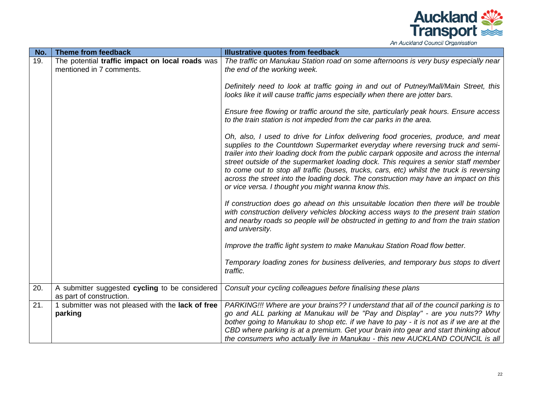

| No. | Theme from feedback                                                        | Illustrative quotes from feedback                                                                                                                                                                                                                                                                                                                                                                                                                                                                                                                                                                 |
|-----|----------------------------------------------------------------------------|---------------------------------------------------------------------------------------------------------------------------------------------------------------------------------------------------------------------------------------------------------------------------------------------------------------------------------------------------------------------------------------------------------------------------------------------------------------------------------------------------------------------------------------------------------------------------------------------------|
| 19. | The potential traffic impact on local roads was                            | The traffic on Manukau Station road on some afternoons is very busy especially near                                                                                                                                                                                                                                                                                                                                                                                                                                                                                                               |
|     | mentioned in 7 comments.                                                   | the end of the working week.                                                                                                                                                                                                                                                                                                                                                                                                                                                                                                                                                                      |
|     |                                                                            | Definitely need to look at traffic going in and out of Putney/Mall/Main Street, this<br>looks like it will cause traffic jams especially when there are jotter bars.                                                                                                                                                                                                                                                                                                                                                                                                                              |
|     |                                                                            | Ensure free flowing or traffic around the site, particularly peak hours. Ensure access<br>to the train station is not impeded from the car parks in the area.                                                                                                                                                                                                                                                                                                                                                                                                                                     |
|     |                                                                            | Oh, also, I used to drive for Linfox delivering food groceries, produce, and meat<br>supplies to the Countdown Supermarket everyday where reversing truck and semi-<br>trailer into their loading dock from the public carpark opposite and across the internal<br>street outside of the supermarket loading dock. This requires a senior staff member<br>to come out to stop all traffic (buses, trucks, cars, etc) whilst the truck is reversing<br>across the street into the loading dock. The construction may have an impact on this<br>or vice versa. I thought you might wanna know this. |
|     |                                                                            | If construction does go ahead on this unsuitable location then there will be trouble<br>with construction delivery vehicles blocking access ways to the present train station<br>and nearby roads so people will be obstructed in getting to and from the train station<br>and university.                                                                                                                                                                                                                                                                                                        |
|     |                                                                            | Improve the traffic light system to make Manukau Station Road flow better.                                                                                                                                                                                                                                                                                                                                                                                                                                                                                                                        |
|     |                                                                            | Temporary loading zones for business deliveries, and temporary bus stops to divert<br>traffic.                                                                                                                                                                                                                                                                                                                                                                                                                                                                                                    |
| 20. | A submitter suggested cycling to be considered<br>as part of construction. | Consult your cycling colleagues before finalising these plans                                                                                                                                                                                                                                                                                                                                                                                                                                                                                                                                     |
| 21. | 1 submitter was not pleased with the lack of free                          | PARKING!!! Where are your brains?? I understand that all of the council parking is to                                                                                                                                                                                                                                                                                                                                                                                                                                                                                                             |
|     |                                                                            | go and ALL parking at Manukau will be "Pay and Display" - are you nuts?? Why                                                                                                                                                                                                                                                                                                                                                                                                                                                                                                                      |
|     | parking                                                                    | bother going to Manukau to shop etc. if we have to pay - it is not as if we are at the                                                                                                                                                                                                                                                                                                                                                                                                                                                                                                            |
|     |                                                                            | CBD where parking is at a premium. Get your brain into gear and start thinking about                                                                                                                                                                                                                                                                                                                                                                                                                                                                                                              |
|     |                                                                            | the consumers who actually live in Manukau - this new AUCKLAND COUNCIL is all                                                                                                                                                                                                                                                                                                                                                                                                                                                                                                                     |
|     |                                                                            |                                                                                                                                                                                                                                                                                                                                                                                                                                                                                                                                                                                                   |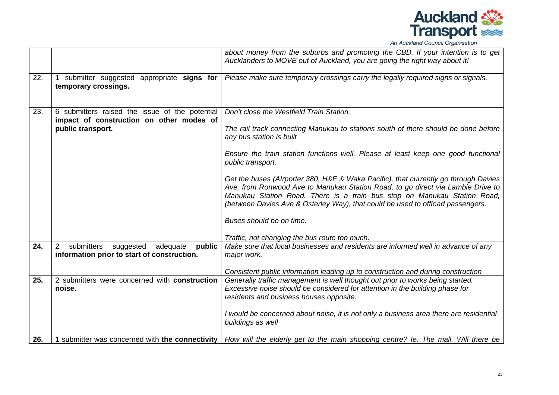

|     |                                                                                                | about money from the suburbs and promoting the CBD. If your intention is to get<br>Aucklanders to MOVE out of Auckland, you are going the right way about it!                                                                                                                                                                        |
|-----|------------------------------------------------------------------------------------------------|--------------------------------------------------------------------------------------------------------------------------------------------------------------------------------------------------------------------------------------------------------------------------------------------------------------------------------------|
| 22. | 1 submitter suggested appropriate signs for<br>temporary crossings.                            | Please make sure temporary crossings carry the legally required signs or signals.                                                                                                                                                                                                                                                    |
| 23. | 6 submitters raised the issue of the potential<br>impact of construction on other modes of     | Don't close the Westfield Train Station.                                                                                                                                                                                                                                                                                             |
|     | public transport.                                                                              | The rail track connecting Manukau to stations south of there should be done before<br>any bus station is built                                                                                                                                                                                                                       |
|     |                                                                                                | Ensure the train station functions well. Please at least keep one good functional<br>public transport.                                                                                                                                                                                                                               |
|     |                                                                                                | Get the buses (Alrporter 380, H&E & Waka Pacific), that currently go through Davies<br>Ave, from Ronwood Ave to Manukau Station Road, to go direct via Lambie Drive to<br>Manukau Station Road. There is a train bus stop on Manukau Station Road,<br>(between Davies Ave & Osterley Way), that could be used to offload passengers. |
|     |                                                                                                | Buses should be on time.                                                                                                                                                                                                                                                                                                             |
|     |                                                                                                | Traffic, not changing the bus route too much.                                                                                                                                                                                                                                                                                        |
| 24. | submitters<br>2<br>suggested adequate<br>public<br>information prior to start of construction. | Make sure that local businesses and residents are informed well in advance of any<br>major work.                                                                                                                                                                                                                                     |
|     |                                                                                                | Consistent public information leading up to construction and during construction                                                                                                                                                                                                                                                     |
| 25. | 2 submitters were concerned with construction<br>noise.                                        | Generally traffic management is well thought out prior to works being started.<br>Excessive noise should be considered for attention in the building phase for<br>residents and business houses opposite.                                                                                                                            |
|     |                                                                                                | I would be concerned about noise, it is not only a business area there are residential<br>buildings as well                                                                                                                                                                                                                          |
| 26. | 1 submitter was concerned with the connectivity                                                | How will the elderly get to the main shopping centre? Ie. The mall. Will there be                                                                                                                                                                                                                                                    |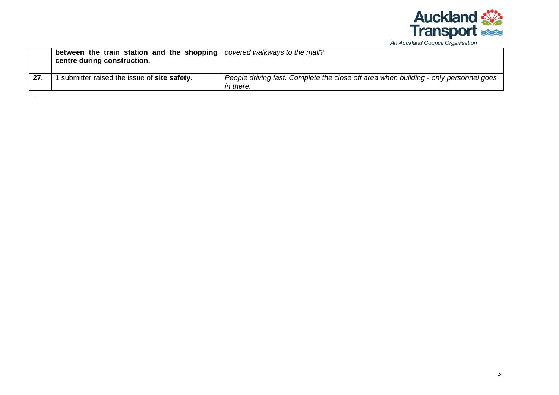

| An Auckland Council Organisation |  |  |
|----------------------------------|--|--|
|----------------------------------|--|--|

|    | between the train station and the shopping<br>centre during construction. | covered walkways to the mall?                                                                     |
|----|---------------------------------------------------------------------------|---------------------------------------------------------------------------------------------------|
| 27 | submitter raised the issue of site safety.                                | People driving fast. Complete the close off area when building - only personnel goes<br>in there. |

.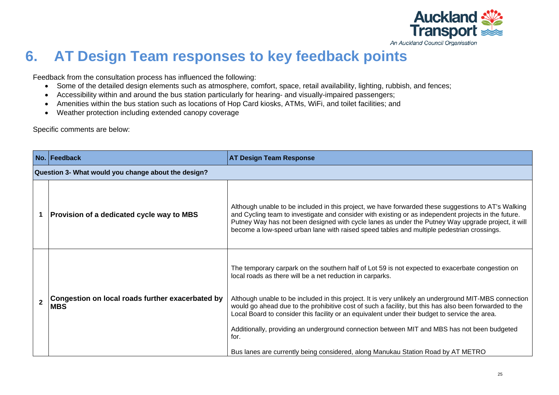

## **6. AT Design Team responses to key feedback points**

Feedback from the consultation process has influenced the following:

- Some of the detailed design elements such as atmosphere, comfort, space, retail availability, lighting, rubbish, and fences;
- Accessibility within and around the bus station particularly for hearing- and visually-impaired passengers;
- Amenities within the bus station such as locations of Hop Card kiosks, ATMs, WiFi, and toilet facilities; and
- Weather protection including extended canopy coverage

Specific comments are below:

<span id="page-33-0"></span>

|                | No. Feedback                                                   | <b>AT Design Team Response</b>                                                                                                                                                                                                                                                                                                                                                                                                                                                                                                                                                                                                                                                |  |
|----------------|----------------------------------------------------------------|-------------------------------------------------------------------------------------------------------------------------------------------------------------------------------------------------------------------------------------------------------------------------------------------------------------------------------------------------------------------------------------------------------------------------------------------------------------------------------------------------------------------------------------------------------------------------------------------------------------------------------------------------------------------------------|--|
|                | Question 3- What would you change about the design?            |                                                                                                                                                                                                                                                                                                                                                                                                                                                                                                                                                                                                                                                                               |  |
|                | Provision of a dedicated cycle way to MBS                      | Although unable to be included in this project, we have forwarded these suggestions to AT's Walking<br>and Cycling team to investigate and consider with existing or as independent projects in the future.<br>Putney Way has not been designed with cycle lanes as under the Putney Way upgrade project, it will<br>become a low-speed urban lane with raised speed tables and multiple pedestrian crossings.                                                                                                                                                                                                                                                                |  |
| $\overline{2}$ | Congestion on local roads further exacerbated by<br><b>MBS</b> | The temporary carpark on the southern half of Lot 59 is not expected to exacerbate congestion on<br>local roads as there will be a net reduction in carparks.<br>Although unable to be included in this project. It is very unlikely an underground MIT-MBS connection<br>would go ahead due to the prohibitive cost of such a facility, but this has also been forwarded to the<br>Local Board to consider this facility or an equivalent under their budget to service the area.<br>Additionally, providing an underground connection between MIT and MBS has not been budgeted<br>for.<br>Bus lanes are currently being considered, along Manukau Station Road by AT METRO |  |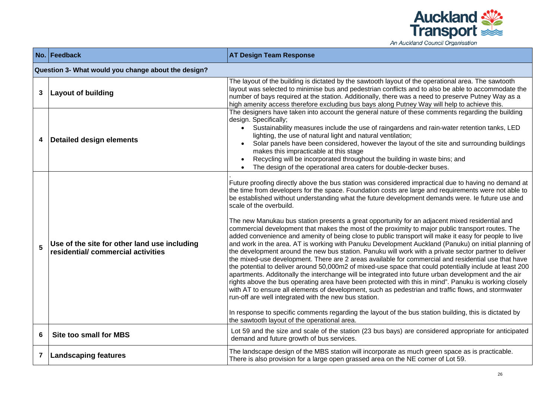

|                | No. Feedback                                                                      | <b>AT Design Team Response</b>                                                                                                                                                                                                                                                                                                                                                                                                                                                                                                                                                                                                                                                                                                                                                                                                                                                                                                                                                                                                                                                                                                                                                                                                                                                                                                                                                                                                                                                                                                                                                                                                            |  |  |  |
|----------------|-----------------------------------------------------------------------------------|-------------------------------------------------------------------------------------------------------------------------------------------------------------------------------------------------------------------------------------------------------------------------------------------------------------------------------------------------------------------------------------------------------------------------------------------------------------------------------------------------------------------------------------------------------------------------------------------------------------------------------------------------------------------------------------------------------------------------------------------------------------------------------------------------------------------------------------------------------------------------------------------------------------------------------------------------------------------------------------------------------------------------------------------------------------------------------------------------------------------------------------------------------------------------------------------------------------------------------------------------------------------------------------------------------------------------------------------------------------------------------------------------------------------------------------------------------------------------------------------------------------------------------------------------------------------------------------------------------------------------------------------|--|--|--|
|                | Question 3- What would you change about the design?                               |                                                                                                                                                                                                                                                                                                                                                                                                                                                                                                                                                                                                                                                                                                                                                                                                                                                                                                                                                                                                                                                                                                                                                                                                                                                                                                                                                                                                                                                                                                                                                                                                                                           |  |  |  |
| 3              | Layout of building                                                                | The layout of the building is dictated by the sawtooth layout of the operational area. The sawtooth<br>layout was selected to minimise bus and pedestrian conflicts and to also be able to accommodate the<br>number of bays required at the station. Additionally, there was a need to preserve Putney Way as a<br>high amenity access therefore excluding bus bays along Putney Way will help to achieve this.                                                                                                                                                                                                                                                                                                                                                                                                                                                                                                                                                                                                                                                                                                                                                                                                                                                                                                                                                                                                                                                                                                                                                                                                                          |  |  |  |
| 4              | Detailed design elements                                                          | The designers have taken into account the general nature of these comments regarding the building<br>design. Specifically;<br>• Sustainability measures include the use of raingardens and rain-water retention tanks, LED<br>lighting, the use of natural light and natural ventilation;<br>Solar panels have been considered, however the layout of the site and surrounding buildings<br>makes this impracticable at this stage<br>Recycling will be incorporated throughout the building in waste bins; and<br>The design of the operational area caters for double-decker buses.                                                                                                                                                                                                                                                                                                                                                                                                                                                                                                                                                                                                                                                                                                                                                                                                                                                                                                                                                                                                                                                     |  |  |  |
| 5              | Use of the site for other land use including<br>residential/commercial activities | Future proofing directly above the bus station was considered impractical due to having no demand at<br>the time from developers for the space. Foundation costs are large and requirements were not able to<br>be established without understanding what the future development demands were. Ie future use and<br>scale of the overbuild.<br>The new Manukau bus station presents a great opportunity for an adjacent mixed residential and<br>commercial development that makes the most of the proximity to major public transport routes. The<br>added convenience and amenity of being close to public transport will make it easy for people to live<br>and work in the area. AT is working with Panuku Development Auckland (Panuku) on initial planning of<br>the development around the new bus station. Panuku will work with a private sector partner to deliver<br>the mixed-use development. There are 2 areas available for commercial and residential use that have<br>the potential to deliver around 50,000m2 of mixed-use space that could potentially include at least 200<br>apartments. Additonally the interchange will be integrated into future urban development and the air<br>rights above the bus operating area have been protected with this in mind". Panuku is working closely<br>with AT to ensure all elements of development, such as pedestrian and traffic flows, and stormwater<br>run-off are well integrated with the new bus station.<br>In response to specific comments regarding the layout of the bus station building, this is dictated by<br>the sawtooth layout of the operational area. |  |  |  |
| 6              | Site too small for MBS                                                            | Lot 59 and the size and scale of the station (23 bus bays) are considered appropriate for anticipated<br>demand and future growth of bus services.                                                                                                                                                                                                                                                                                                                                                                                                                                                                                                                                                                                                                                                                                                                                                                                                                                                                                                                                                                                                                                                                                                                                                                                                                                                                                                                                                                                                                                                                                        |  |  |  |
| $\overline{7}$ | <b>Landscaping features</b>                                                       | The landscape design of the MBS station will incorporate as much green space as is practicable.<br>There is also provision for a large open grassed area on the NE corner of Lot 59.                                                                                                                                                                                                                                                                                                                                                                                                                                                                                                                                                                                                                                                                                                                                                                                                                                                                                                                                                                                                                                                                                                                                                                                                                                                                                                                                                                                                                                                      |  |  |  |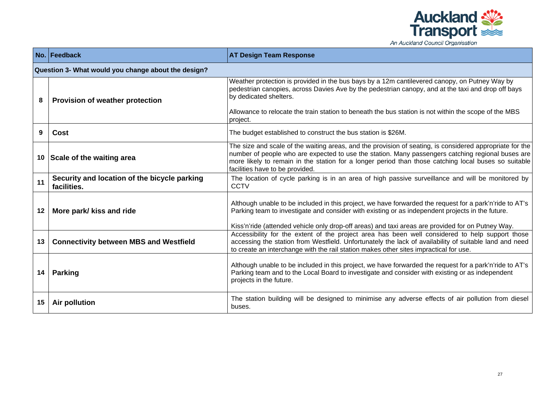

| An Auckland Council Organisation |  |  |  |
|----------------------------------|--|--|--|
|----------------------------------|--|--|--|

|    | No. Feedback                                                | <b>AT Design Team Response</b>                                                                                                                                                                                                                                                                                                                                                                          |  |  |  |
|----|-------------------------------------------------------------|---------------------------------------------------------------------------------------------------------------------------------------------------------------------------------------------------------------------------------------------------------------------------------------------------------------------------------------------------------------------------------------------------------|--|--|--|
|    | Question 3- What would you change about the design?         |                                                                                                                                                                                                                                                                                                                                                                                                         |  |  |  |
| 8  | <b>Provision of weather protection</b>                      | Weather protection is provided in the bus bays by a 12m cantilevered canopy, on Putney Way by<br>pedestrian canopies, across Davies Ave by the pedestrian canopy, and at the taxi and drop off bays<br>by dedicated shelters.                                                                                                                                                                           |  |  |  |
|    |                                                             | Allowance to relocate the train station to beneath the bus station is not within the scope of the MBS<br>project.                                                                                                                                                                                                                                                                                       |  |  |  |
| 9  | <b>Cost</b>                                                 | The budget established to construct the bus station is \$26M.                                                                                                                                                                                                                                                                                                                                           |  |  |  |
|    | 10 Scale of the waiting area                                | The size and scale of the waiting areas, and the provision of seating, is considered appropriate for the<br>number of people who are expected to use the station. Many passengers catching regional buses are<br>more likely to remain in the station for a longer period than those catching local buses so suitable<br>facilities have to be provided.                                                |  |  |  |
| 11 | Security and location of the bicycle parking<br>facilities. | The location of cycle parking is in an area of high passive surveillance and will be monitored by<br><b>CCTV</b>                                                                                                                                                                                                                                                                                        |  |  |  |
| 12 | More park/ kiss and ride                                    | Although unable to be included in this project, we have forwarded the request for a park'n'ride to AT's<br>Parking team to investigate and consider with existing or as independent projects in the future.                                                                                                                                                                                             |  |  |  |
| 13 | <b>Connectivity between MBS and Westfield</b>               | Kiss'n'ride (attended vehicle only drop-off areas) and taxi areas are provided for on Putney Way.<br>Accessibility for the extent of the project area has been well considered to help support those<br>accessing the station from Westfield. Unfortunately the lack of availability of suitable land and need<br>to create an interchange with the rail station makes other sites impractical for use. |  |  |  |
| 14 | <b>Parking</b>                                              | Although unable to be included in this project, we have forwarded the request for a park'n'ride to AT's<br>Parking team and to the Local Board to investigate and consider with existing or as independent<br>projects in the future.                                                                                                                                                                   |  |  |  |
| 15 | Air pollution                                               | The station building will be designed to minimise any adverse effects of air pollution from diesel<br>buses.                                                                                                                                                                                                                                                                                            |  |  |  |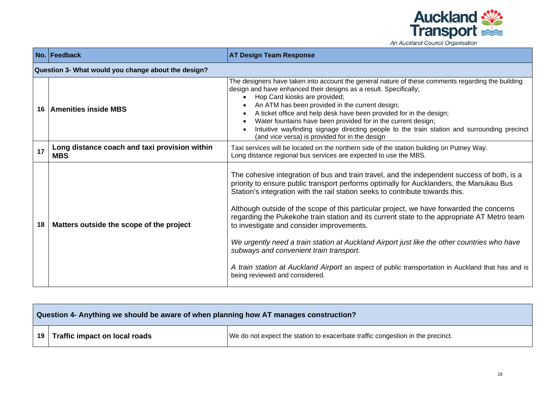

| An Auckland Council Organisation |  |  |
|----------------------------------|--|--|
|----------------------------------|--|--|

|    | No. Feedback                                                | <b>AT Design Team Response</b>                                                                                                                                                                                                                                                                                                                                                                                                                                                                                                                                                                                                                                                                                                                                                                    |  |  |  |
|----|-------------------------------------------------------------|---------------------------------------------------------------------------------------------------------------------------------------------------------------------------------------------------------------------------------------------------------------------------------------------------------------------------------------------------------------------------------------------------------------------------------------------------------------------------------------------------------------------------------------------------------------------------------------------------------------------------------------------------------------------------------------------------------------------------------------------------------------------------------------------------|--|--|--|
|    | Question 3- What would you change about the design?         |                                                                                                                                                                                                                                                                                                                                                                                                                                                                                                                                                                                                                                                                                                                                                                                                   |  |  |  |
| 16 | <b>Amenities inside MBS</b>                                 | The designers have taken into account the general nature of these comments regarding the building<br>design and have enhanced their designs as a result. Specifically;<br>Hop Card kiosks are provided;<br>$\bullet$<br>An ATM has been provided in the current design;<br>$\bullet$<br>A ticket office and help desk have been provided for in the design;<br>$\bullet$<br>Water fountains have been provided for in the current design;<br>$\bullet$<br>Intuitive wayfinding signage directing people to the train station and surrounding precinct<br>$\bullet$<br>(and vice versa) is provided for in the design                                                                                                                                                                              |  |  |  |
| 17 | Long distance coach and taxi provision within<br><b>MBS</b> | Taxi services will be located on the northern side of the station building on Putney Way.<br>Long distance regional bus services are expected to use the MBS.                                                                                                                                                                                                                                                                                                                                                                                                                                                                                                                                                                                                                                     |  |  |  |
| 18 | Matters outside the scope of the project                    | The cohesive integration of bus and train travel, and the independent success of both, is a<br>priority to ensure public transport performs optimally for Aucklanders, the Manukau Bus<br>Station's integration with the rail station seeks to contribute towards this.<br>Although outside of the scope of this particular project, we have forwarded the concerns<br>regarding the Pukekohe train station and its current state to the appropriate AT Metro team<br>to investigate and consider improvements.<br>We urgently need a train station at Auckland Airport just like the other countries who have<br>subways and convenient train transport.<br>A train station at Auckland Airport an aspect of public transportation in Auckland that has and is<br>being reviewed and considered. |  |  |  |

| Question 4- Anything we should be aware of when planning how AT manages construction? |                                                                                |  |
|---------------------------------------------------------------------------------------|--------------------------------------------------------------------------------|--|
| 19   Traffic impact on local roads                                                    | We do not expect the station to exacerbate traffic congestion in the precinct. |  |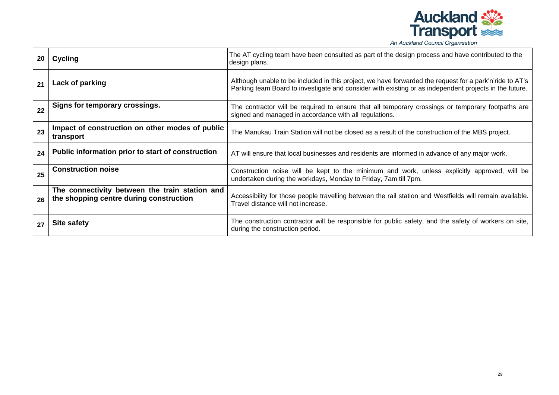

| 20 | Cycling                                                                                   | The AT cycling team have been consulted as part of the design process and have contributed to the<br>design plans.                                                                                                |
|----|-------------------------------------------------------------------------------------------|-------------------------------------------------------------------------------------------------------------------------------------------------------------------------------------------------------------------|
| 21 | Lack of parking                                                                           | Although unable to be included in this project, we have forwarded the request for a park'n'ride to AT's<br>Parking team Board to investigate and consider with existing or as independent projects in the future. |
| 22 | Signs for temporary crossings.                                                            | The contractor will be required to ensure that all temporary crossings or temporary footpaths are<br>signed and managed in accordance with all regulations.                                                       |
| 23 | Impact of construction on other modes of public<br>transport                              | The Manukau Train Station will not be closed as a result of the construction of the MBS project.                                                                                                                  |
| 24 | Public information prior to start of construction                                         | AT will ensure that local businesses and residents are informed in advance of any major work.                                                                                                                     |
| 25 | <b>Construction noise</b>                                                                 | Construction noise will be kept to the minimum and work, unless explicitly approved, will be<br>undertaken during the workdays, Monday to Friday, 7am till 7pm.                                                   |
| 26 | The connectivity between the train station and<br>the shopping centre during construction | Accessibility for those people travelling between the rail station and Westfields will remain available.<br>Travel distance will not increase.                                                                    |
| 27 | Site safety                                                                               | The construction contractor will be responsible for public safety, and the safety of workers on site,<br>during the construction period.                                                                          |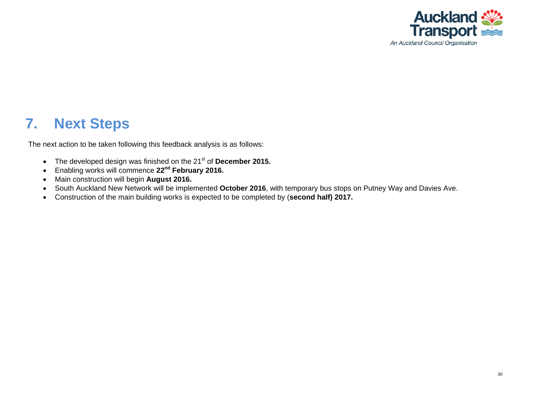

### **7. Next Steps**

The next action to be taken following this feedback analysis is as follows:

- The developed design was finished on the 21<sup>st</sup> of **December 2015.**
- Enabling works will commence **22nd February 2016.**
- Main construction will begin **August 2016.**
- South Auckland New Network will be implemented **October 2016**, with temporary bus stops on Putney Way and Davies Ave.
- <span id="page-38-0"></span>• Construction of the main building works is expected to be completed by (**second half) 2017.**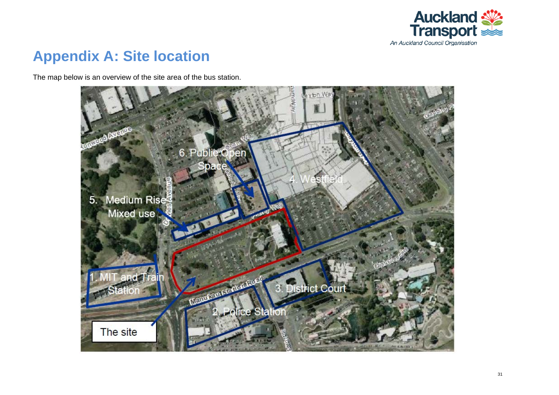

## **Appendix A: Site location**

The map below is an overview of the site area of the bus station.

<span id="page-39-0"></span>